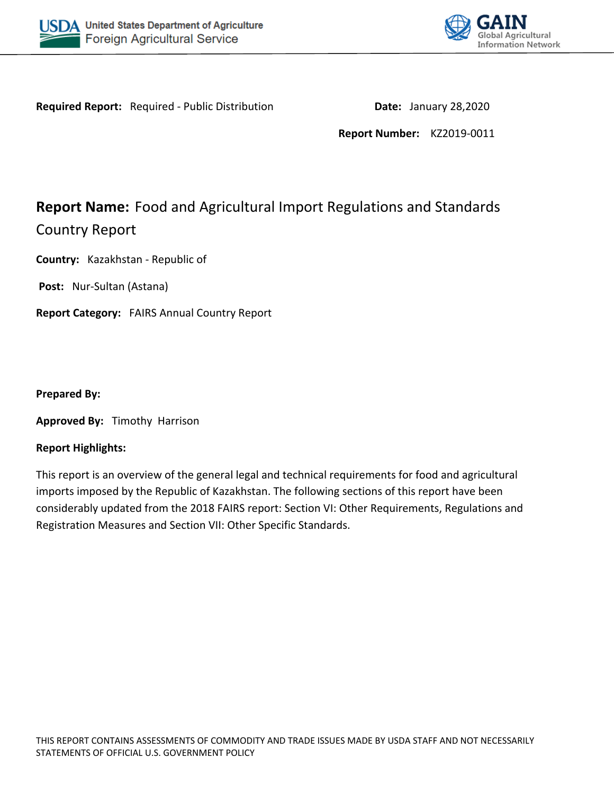



**Required Report:** Required - Public Distribution **Date: January 28,2020** 

**Report Number:** KZ2019-0011

# **Report Name:** Food and Agricultural Import Regulations and Standards Country Report

**Country:** Kazakhstan - Republic of

**Post:** Nur-Sultan (Astana)

**Report Category:** FAIRS Annual Country Report

**Prepared By:** 

**Approved By:** Timothy Harrison

#### **Report Highlights:**

This report is an overview of the general legal and technical requirements for food and agricultural imports imposed by the Republic of Kazakhstan. The following sections of this report have been considerably updated from the 2018 FAIRS report: Section VI: Other Requirements, Regulations and Registration Measures and Section VII: Other Specific Standards.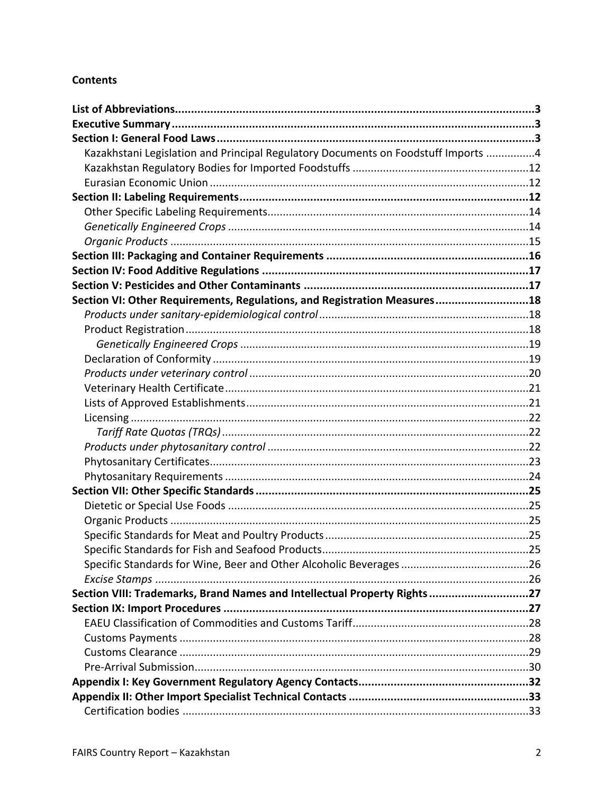# **Contents**

| Kazakhstani Legislation and Principal Regulatory Documents on Foodstuff Imports 4 |  |
|-----------------------------------------------------------------------------------|--|
|                                                                                   |  |
|                                                                                   |  |
|                                                                                   |  |
|                                                                                   |  |
|                                                                                   |  |
|                                                                                   |  |
|                                                                                   |  |
|                                                                                   |  |
|                                                                                   |  |
| Section VI: Other Requirements, Regulations, and Registration Measures18          |  |
|                                                                                   |  |
|                                                                                   |  |
|                                                                                   |  |
|                                                                                   |  |
|                                                                                   |  |
|                                                                                   |  |
|                                                                                   |  |
|                                                                                   |  |
|                                                                                   |  |
|                                                                                   |  |
|                                                                                   |  |
|                                                                                   |  |
|                                                                                   |  |
|                                                                                   |  |
|                                                                                   |  |
|                                                                                   |  |
|                                                                                   |  |
|                                                                                   |  |
|                                                                                   |  |
| Section VIII: Trademarks, Brand Names and Intellectual Property Rights27          |  |
|                                                                                   |  |
|                                                                                   |  |
|                                                                                   |  |
|                                                                                   |  |
|                                                                                   |  |
|                                                                                   |  |
|                                                                                   |  |
|                                                                                   |  |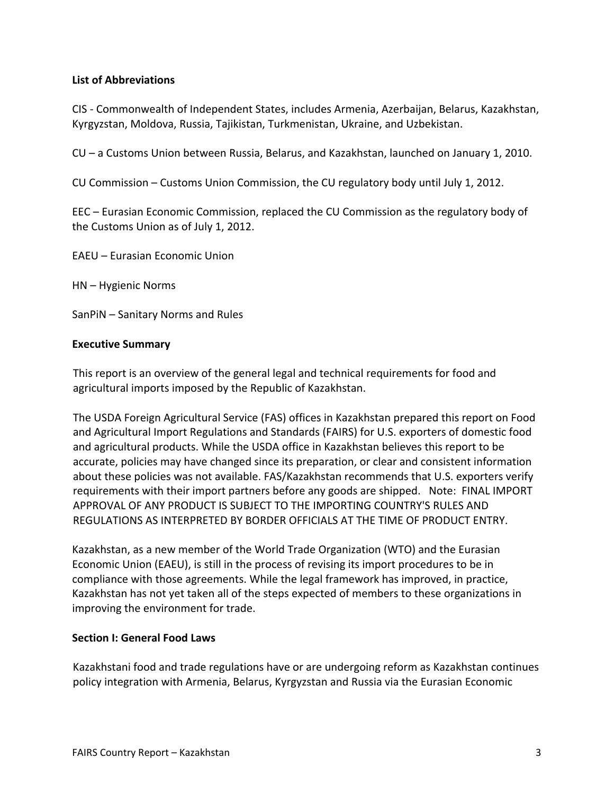## <span id="page-2-0"></span>**List of Abbreviations**

CIS - Commonwealth of Independent States, includes Armenia, Azerbaijan, Belarus, Kazakhstan, Kyrgyzstan, Moldova, Russia, Tajikistan, Turkmenistan, Ukraine, and Uzbekistan.

CU – a Customs Union between Russia, Belarus, and Kazakhstan, launched on January 1, 2010.

CU Commission – Customs Union Commission, the CU regulatory body until July 1, 2012.

EEC – Eurasian Economic Commission, replaced the CU Commission as the regulatory body of the Customs Union as of July 1, 2012.

EAEU – Eurasian Economic Union

HN – Hygienic Norms

SanPiN – Sanitary Norms and Rules

#### <span id="page-2-1"></span>**Executive Summary**

This report is an overview of the general legal and technical requirements for food and agricultural imports imposed by the Republic of Kazakhstan.

The USDA Foreign Agricultural Service (FAS) offices in Kazakhstan prepared this report on Food and Agricultural Import Regulations and Standards (FAIRS) for U.S. exporters of domestic food and agricultural products. While the USDA office in Kazakhstan believes this report to be accurate, policies may have changed since its preparation, or clear and consistent information about these policies was not available. FAS/Kazakhstan recommends that U.S. exporters verify requirements with their import partners before any goods are shipped. Note: FINAL IMPORT APPROVAL OF ANY PRODUCT IS SUBJECT TO THE IMPORTING COUNTRY'S RULES AND REGULATIONS AS INTERPRETED BY BORDER OFFICIALS AT THE TIME OF PRODUCT ENTRY.

Kazakhstan, as a new member of the World Trade Organization (WTO) and the Eurasian Economic Union (EAEU), is still in the process of revising its import procedures to be in compliance with those agreements. While the legal framework has improved, in practice, Kazakhstan has not yet taken all of the steps expected of members to these organizations in improving the environment for trade.

#### <span id="page-2-2"></span>**Section I: General Food Laws**

Kazakhstani food and trade regulations have or are undergoing reform as Kazakhstan continues policy integration with Armenia, Belarus, Kyrgyzstan and Russia via the Eurasian Economic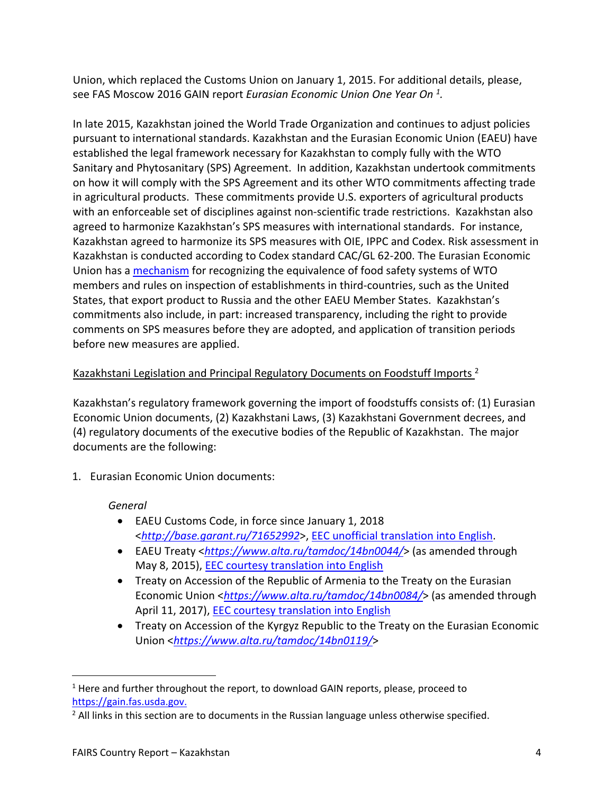Union, which replaced the Customs Union on January 1, 2015. For additional details, please, see FAS Moscow 2016 GAIN report *Eurasian Economic Union One Year On <sup>1</sup> .*

In late 2015, Kazakhstan joined the World Trade Organization and continues to adjust policies pursuant to international standards. Kazakhstan and the Eurasian Economic Union (EAEU) have established the legal framework necessary for Kazakhstan to comply fully with the WTO Sanitary and Phytosanitary (SPS) Agreement. In addition, Kazakhstan undertook commitments on how it will comply with the SPS Agreement and its other WTO commitments affecting trade in agricultural products. These commitments provide U.S. exporters of agricultural products with an enforceable set of disciplines against non-scientific trade restrictions. Kazakhstan also agreed to harmonize Kazakhstan's SPS measures with international standards. For instance, Kazakhstan agreed to harmonize its SPS measures with OIE, IPPC and Codex. Risk assessment in Kazakhstan is conducted according to Codex standard CAC/GL 62-200. The Eurasian Economic Union has a [mechanism](#page-4-0) for recognizing the equivalence of food safety systems of WTO members and rules on inspection of establishments in third-countries, such as the United States, that export product to Russia and the other EAEU Member States. Kazakhstan's commitments also include, in part: increased transparency, including the right to provide comments on SPS measures before they are adopted, and application of transition periods before new measures are applied.

# <span id="page-3-0"></span>Kazakhstani Legislation and Principal Regulatory Documents on Foodstuff Imports <sup>2</sup>

Kazakhstan's regulatory framework governing the import of foodstuffs consists of: (1) Eurasian Economic Union documents, (2) Kazakhstani Laws, (3) Kazakhstani Government decrees, and (4) regulatory documents of the executive bodies of the Republic of Kazakhstan. The major documents are the following:

1. Eurasian Economic Union documents:

# *General*

- EAEU Customs Code, in force since January 1, 2018 <*<http://base.garant.ru/71652992>*>, [EEC unofficial translation into English.](http://www.eurasiancommission.org/ru/act/tam_sotr/dep_tamoj_zak/SiteAssets/Customs%20Code%20of%20the%20EAEU.pdf)
- EAEU Treaty <*<https://www.alta.ru/tamdoc/14bn0044/>*> (as amended through May 8, 2015), [EEC courtesy translation into English](https://docs.eaeunion.org/_layouts/15/Portal.EEC.NPB/Pages/Download.aspx?siteid=%7Bbef9c798-3978-42f3-9ef2-d0fb3d53b75f%7D&webid=632c7868-4ee2-4b21-bc64-1995328e6ef3&docguid=a089f4c6-02da-4461-b033-3f5d122e0020&lcid=1033&type=document)
- Treaty on Accession of the Republic of Armenia to the Treaty on the Eurasian Economic Union <*<https://www.alta.ru/tamdoc/14bn0084/>*> (as amended through April 11, 2017), [EEC courtesy translation into English](https://docs.eaeunion.org/_layouts/15/Portal.EEC.NPB/Pages/Download.aspx?siteid=%7Bbef9c798-3978-42f3-9ef2-d0fb3d53b75f%7D&webid=632c7868-4ee2-4b21-bc64-1995328e6ef3&docguid=3192b5cd-9395-4f2d-9aef-fc624d3db445&lcid=1033&type=document)
- Treaty on Accession of the Kyrgyz Republic to the Treaty on the Eurasian Economic Union <*<https://www.alta.ru/tamdoc/14bn0119/>*>

<sup>&</sup>lt;sup>1</sup> Here and further throughout the report, to download GAIN reports, please, proceed to [https://gain.fas.usda.gov.](https://gain.fas.usda.gov/)

<sup>&</sup>lt;sup>2</sup> All links in this section are to documents in the Russian language unless otherwise specified.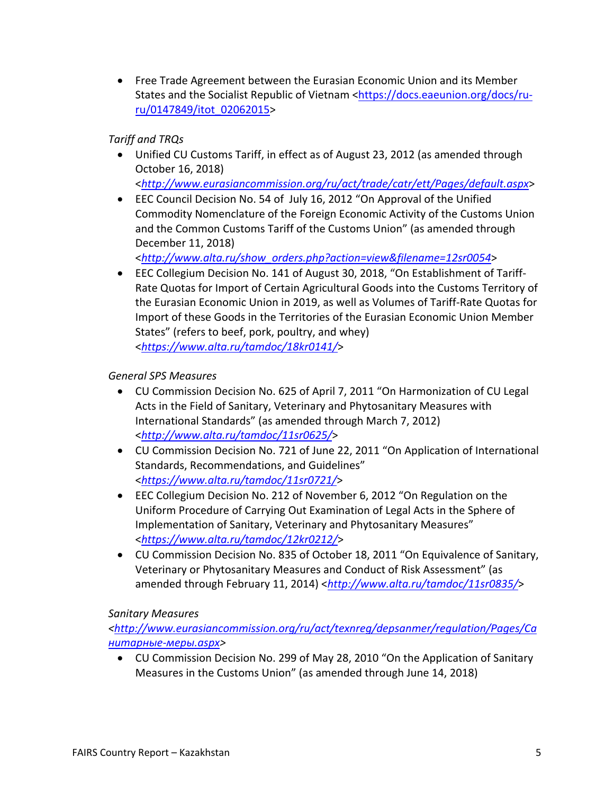Free Trade Agreement between the Eurasian Economic Union and its Member States and the Socialist Republic of Vietnam [<https://docs.eaeunion.org/docs/ru](https://docs.eaeunion.org/docs/ru-ru/0147849/itot_02062015)[ru/0147849/itot\\_02062015](https://docs.eaeunion.org/docs/ru-ru/0147849/itot_02062015)>

# *Tariff and TRQs*

- Unified CU Customs Tariff, in effect as of August 23, 2012 (as amended through October 16, 2018)
	- <*<http://www.eurasiancommission.org/ru/act/trade/catr/ett/Pages/default.aspx>*>
- EEC Council Decision No. 54 of July 16, 2012 "On Approval of the Unified Commodity Nomenclature of the Foreign Economic Activity of the Customs Union and the Common Customs Tariff of the Customs Union" (as amended through December 11, 2018)

<*[http://www.alta.ru/show\\_orders.php?action=view&filename=12sr0054](http://www.alta.ru/show_orders.php?action=view&filename=12sr0054)*>

 EEC Collegium Decision No. 141 of August 30, 2018, "On Establishment of Tariff-Rate Quotas for Import of Certain Agricultural Goods into the Customs Territory of the Eurasian Economic Union in 2019, as well as Volumes of Tariff-Rate Quotas for Import of these Goods in the Territories of the Eurasian Economic Union Member States" (refers to beef, pork, poultry, and whey) <*<https://www.alta.ru/tamdoc/18kr0141/>*>

# *General SPS Measures*

- CU Commission Decision No. 625 of April 7, 2011 "On Harmonization of CU Legal Acts in the Field of Sanitary, Veterinary and Phytosanitary Measures with International Standards" (as amended through March 7, 2012) <*<http://www.alta.ru/tamdoc/11sr0625/>*>
- CU Commission Decision No. 721 of June 22, 2011 "On Application of International Standards, Recommendations, and Guidelines" <*<https://www.alta.ru/tamdoc/11sr0721/>*>
- EEC Collegium Decision No. 212 of November 6, 2012 "On Regulation on the Uniform Procedure of Carrying Out Examination of Legal Acts in the Sphere of Implementation of Sanitary, Veterinary and Phytosanitary Measures" <*<https://www.alta.ru/tamdoc/12kr0212/>*>
- <span id="page-4-0"></span> CU Commission Decision No. 835 of October 18, 2011 "On Equivalence of Sanitary, Veterinary or Phytosanitary Measures and Conduct of Risk Assessment" (as amended through February 11, 2014) <*<http://www.alta.ru/tamdoc/11sr0835/>*>

# *Sanitary Measures*

*<[http://www.eurasiancommission.org/ru/act/texnreg/depsanmer/regulation/Pages/Са](http://www.eurasiancommission.org/ru/act/texnreg/depsanmer/regulation/Pages/%D0%A1%D0%B0%D0%BD%D0%B8%D1%82%D0%B0%D1%80%D0%BD%D1%8B%D0%B5-%D0%BC%D0%B5%D1%80%D1%8B.aspx) [нитарные-меры.aspx](http://www.eurasiancommission.org/ru/act/texnreg/depsanmer/regulation/Pages/%D0%A1%D0%B0%D0%BD%D0%B8%D1%82%D0%B0%D1%80%D0%BD%D1%8B%D0%B5-%D0%BC%D0%B5%D1%80%D1%8B.aspx)>*

 CU Commission Decision No. 299 of May 28, 2010 "On the Application of Sanitary Measures in the Customs Union" (as amended through June 14, 2018)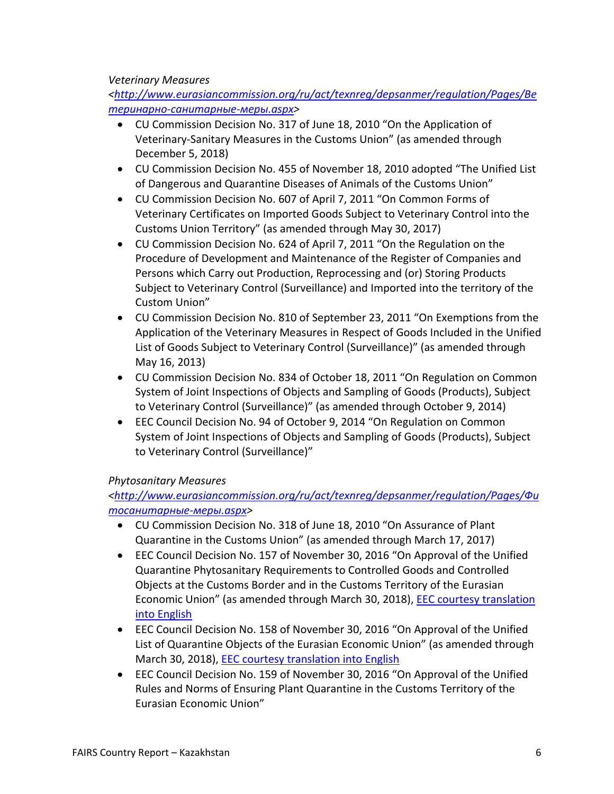### *Veterinary Measures*

*<[http://www.eurasiancommission.org/ru/act/texnreg/depsanmer/regulation/Pages/Ве](http://www.eurasiancommission.org/ru/act/texnreg/depsanmer/regulation/Pages/%D0%92%D0%B5%D1%82%D0%B5%D1%80%D0%B8%D0%BD%D0%B0%D1%80%D0%BD%D0%BE-%D1%81%D0%B0%D0%BD%D0%B8%D1%82%D0%B0%D1%80%D0%BD%D1%8B%D0%B5-%D0%BC%D0%B5%D1%80%D1%8B.aspx) [теринарно-санитарные-меры.aspx](http://www.eurasiancommission.org/ru/act/texnreg/depsanmer/regulation/Pages/%D0%92%D0%B5%D1%82%D0%B5%D1%80%D0%B8%D0%BD%D0%B0%D1%80%D0%BD%D0%BE-%D1%81%D0%B0%D0%BD%D0%B8%D1%82%D0%B0%D1%80%D0%BD%D1%8B%D0%B5-%D0%BC%D0%B5%D1%80%D1%8B.aspx)>*

- CU Commission Decision No. 317 of June 18, 2010 "On the Application of Veterinary-Sanitary Measures in the Customs Union" (as amended through December 5, 2018)
- CU Commission Decision No. 455 of November 18, 2010 adopted "The Unified List of Dangerous and Quarantine Diseases of Animals of the Customs Union"
- CU Commission Decision No. 607 of April 7, 2011 "On Common Forms of Veterinary Certificates on Imported Goods Subject to Veterinary Control into the Customs Union Territory" (as amended through May 30, 2017)
- CU Commission Decision No. 624 of April 7, 2011 "On the Regulation on the Procedure of Development and Maintenance of the Register of Companies and Persons which Carry out Production, Reprocessing and (or) Storing Products Subject to Veterinary Control (Surveillance) and Imported into the territory of the Custom Union"
- CU Commission Decision No. 810 of September 23, 2011 "On Exemptions from the Application of the Veterinary Measures in Respect of Goods Included in the Unified List of Goods Subject to Veterinary Control (Surveillance)" (as amended through May 16, 2013)
- CU Commission Decision No. 834 of October 18, 2011 "On Regulation on Common System of Joint Inspections of Objects and Sampling of Goods (Products), Subject to Veterinary Control (Surveillance)" (as amended through October 9, 2014)
- EEC Council Decision No. 94 of October 9, 2014 "On Regulation on Common System of Joint Inspections of Objects and Sampling of Goods (Products), Subject to Veterinary Control (Surveillance)"

#### *Phytosanitary Measures*

*<[http://www.eurasiancommission.org/ru/act/texnreg/depsanmer/regulation/Pages/Фи](http://www.eurasiancommission.org/ru/act/texnreg/depsanmer/regulation/Pages/%D0%A4%D0%B8%D1%82%D0%BE%D1%81%D0%B0%D0%BD%D0%B8%D1%82%D0%B0%D1%80%D0%BD%D1%8B%D0%B5-%D0%BC%D0%B5%D1%80%D1%8B.aspx) [тосанитарные-меры.aspx](http://www.eurasiancommission.org/ru/act/texnreg/depsanmer/regulation/Pages/%D0%A4%D0%B8%D1%82%D0%BE%D1%81%D0%B0%D0%BD%D0%B8%D1%82%D0%B0%D1%80%D0%BD%D1%8B%D0%B5-%D0%BC%D0%B5%D1%80%D1%8B.aspx)>*

- CU Commission Decision No. 318 of June 18, 2010 "On Assurance of Plant Quarantine in the Customs Union" (as amended through March 17, 2017)
- EEC Council Decision No. 157 of November 30, 2016 "On Approval of the Unified Quarantine Phytosanitary Requirements to Controlled Goods and Controlled Objects at the Customs Border and in the Customs Territory of the Eurasian Economic Union" (as amended through March 30, 2018), **EEC courtesy translation** [into English](http://www.eurasiancommission.org/ru/act/texnreg/depsanmer/regulation/Documents/%D0%95%D0%9A%D0%A4%D0%A2%20(en).pdf)
- EEC Council Decision No. 158 of November 30, 2016 "On Approval of the Unified List of Quarantine Objects of the Eurasian Economic Union" (as amended through March 30, 2018), [EEC courtesy translation into English](http://www.eurasiancommission.org/ru/act/texnreg/depsanmer/regulation/Documents/%D0%95%D0%9F%D0%9A%D0%9E%20(en).pdf)
- EEC Council Decision No. 159 of November 30, 2016 "On Approval of the Unified Rules and Norms of Ensuring Plant Quarantine in the Customs Territory of the Eurasian Economic Union"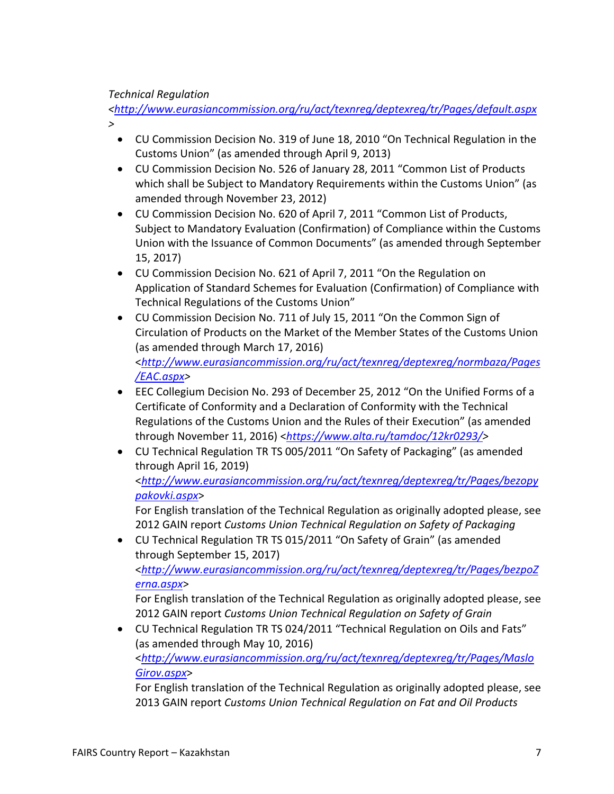## *Technical Regulation*

*<<http://www.eurasiancommission.org/ru/act/texnreg/deptexreg/tr/Pages/default.aspx>*

*>*

- CU Commission Decision No. 319 of June 18, 2010 "On Technical Regulation in the Customs Union" (as amended through April 9, 2013)
- CU Commission Decision No. 526 of January 28, 2011 "Common List of Products which shall be Subject to Mandatory Requirements within the Customs Union" (as amended through November 23, 2012)
- CU Commission Decision No. 620 of April 7, 2011 "Common List of Products, Subject to Mandatory Evaluation (Confirmation) of Compliance within the Customs Union with the Issuance of Common Documents" (as amended through September 15, 2017)
- CU Commission Decision No. 621 of April 7, 2011 "On the Regulation on Application of Standard Schemes for Evaluation (Confirmation) of Compliance with Technical Regulations of the Customs Union"
- CU Commission Decision No. 711 of July 15, 2011 "On the Common Sign of Circulation of Products on the Market of the Member States of the Customs Union (as amended through March 17, 2016) <*[http://www.eurasiancommission.org/ru/act/texnreg/deptexreg/normbaza/Pages](http://www.eurasiancommission.org/ru/act/texnreg/deptexreg/normbaza/Pages/EAC.aspx) [/EAC.aspx>](http://www.eurasiancommission.org/ru/act/texnreg/deptexreg/normbaza/Pages/EAC.aspx)*
- EEC Collegium Decision No. 293 of December 25, 2012 "On the Unified Forms of a Certificate of Conformity and a Declaration of Conformity with the Technical Regulations of the Customs Union and the Rules of their Execution" (as amended through November 11, 2016) <*<https://www.alta.ru/tamdoc/12kr0293/>>*
- CU Technical Regulation TR TS 005/2011 "On Safety of Packaging" (as amended through April 16, 2019)

<*[http://www.eurasiancommission.org/ru/act/texnreg/deptexreg/tr/Pages/bezopy](http://www.eurasiancommission.org/ru/act/texnreg/deptexreg/tr/Pages/bezopypakovki.aspx) [pakovki.aspx](http://www.eurasiancommission.org/ru/act/texnreg/deptexreg/tr/Pages/bezopypakovki.aspx)*>

For English translation of the Technical Regulation as originally adopted please, see 2012 GAIN report *Customs Union Technical Regulation on Safety of Packaging*

 CU Technical Regulation TR TS 015/2011 "On Safety of Grain" (as amended through September 15, 2017) <*[http://www.eurasiancommission.org/ru/act/texnreg/deptexreg/tr/Pages/bezpoZ](http://www.eurasiancommission.org/ru/act/texnreg/deptexreg/tr/Pages/bezpoZerna.aspx) [erna.aspx](http://www.eurasiancommission.org/ru/act/texnreg/deptexreg/tr/Pages/bezpoZerna.aspx)*>

For English translation of the Technical Regulation as originally adopted please, see 2012 GAIN report *Customs Union Technical Regulation on Safety of Grain*

 CU Technical Regulation TR TS 024/2011 "Technical Regulation on Oils and Fats" (as amended through May 10, 2016) <*[http://www.eurasiancommission.org/ru/act/texnreg/deptexreg/tr/Pages/Maslo](http://www.eurasiancommission.org/ru/act/texnreg/deptexreg/tr/Pages/MasloGirov.aspx) [Girov.aspx](http://www.eurasiancommission.org/ru/act/texnreg/deptexreg/tr/Pages/MasloGirov.aspx)*>

For English translation of the Technical Regulation as originally adopted please, see 2013 GAIN report *Customs Union Technical Regulation on Fat and Oil Products*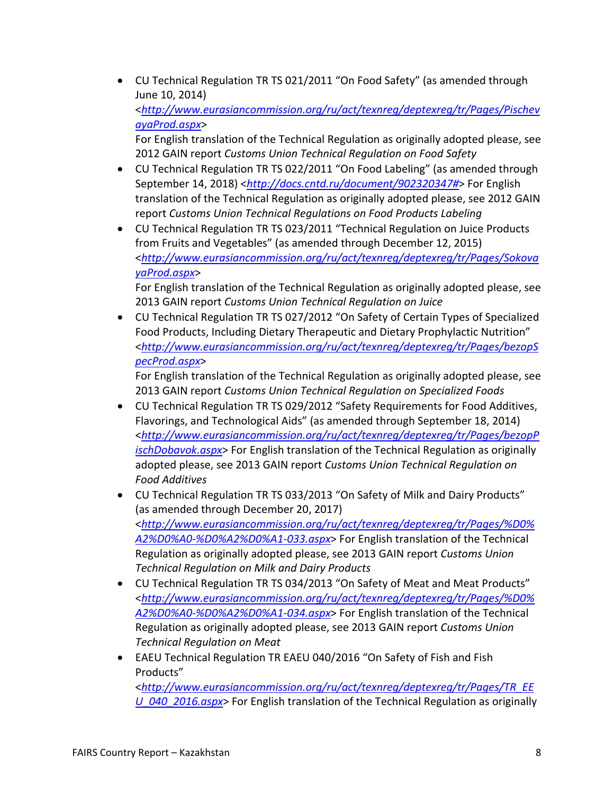CU Technical Regulation TR TS 021/2011 "On Food Safety" (as amended through June 10, 2014)

<*[http://www.eurasiancommission.org/ru/act/texnreg/deptexreg/tr/Pages/Pischev](http://www.eurasiancommission.org/ru/act/texnreg/deptexreg/tr/Pages/PischevayaProd.aspx) [ayaProd.aspx](http://www.eurasiancommission.org/ru/act/texnreg/deptexreg/tr/Pages/PischevayaProd.aspx)*>

For English translation of the Technical Regulation as originally adopted please, see 2012 GAIN report *Customs Union Technical Regulation on Food Safety*

- CU Technical Regulation TR TS 022/2011 "On Food Labeling" (as amended through September 14, 2018) <*[http://docs.cntd.ru/document/902320347#](http://docs.cntd.ru/document/902320347)*> For English translation of the Technical Regulation as originally adopted please, see 2012 GAIN report *Customs Union Technical Regulations on Food Products Labeling*
- CU Technical Regulation TR TS 023/2011 "Technical Regulation on Juice Products from Fruits and Vegetables" (as amended through December 12, 2015) <*[http://www.eurasiancommission.org/ru/act/texnreg/deptexreg/tr/Pages/Sokova](http://www.eurasiancommission.org/ru/act/texnreg/deptexreg/tr/Pages/SokovayaProd.aspx) [yaProd.aspx](http://www.eurasiancommission.org/ru/act/texnreg/deptexreg/tr/Pages/SokovayaProd.aspx)*>

For English translation of the Technical Regulation as originally adopted please, see 2013 GAIN report *Customs Union Technical Regulation on Juice*

 CU Technical Regulation TR TS 027/2012 "On Safety of Certain Types of Specialized Food Products, Including Dietary Therapeutic and Dietary Prophylactic Nutrition" <*[http://www.eurasiancommission.org/ru/act/texnreg/deptexreg/tr/Pages/bezopS](http://www.eurasiancommission.org/ru/act/texnreg/deptexreg/tr/Pages/bezopSpecProd.aspx) [pecProd.aspx](http://www.eurasiancommission.org/ru/act/texnreg/deptexreg/tr/Pages/bezopSpecProd.aspx)*>

For English translation of the Technical Regulation as originally adopted please, see 2013 GAIN report *Customs Union Technical Regulation on Specialized Foods*

- CU Technical Regulation TR TS 029/2012 "Safety Requirements for Food Additives, Flavorings, and Technological Aids" (as amended through September 18, 2014) <*[http://www.eurasiancommission.org/ru/act/texnreg/deptexreg/tr/Pages/bezopP](http://www.eurasiancommission.org/ru/act/texnreg/deptexreg/tr/Pages/bezopPischDobavok.aspx) [ischDobavok.aspx](http://www.eurasiancommission.org/ru/act/texnreg/deptexreg/tr/Pages/bezopPischDobavok.aspx)*> For English translation of the Technical Regulation as originally adopted please, see 2013 GAIN report *Customs Union Technical Regulation on Food Additives*
- CU Technical Regulation TR TS 033/2013 "On Safety of Milk and Dairy Products" (as amended through December 20, 2017) <*[http://www.eurasiancommission.org/ru/act/texnreg/deptexreg/tr/Pages/%D0%](http://www.eurasiancommission.org/ru/act/texnreg/deptexreg/tr/Pages/%D0%A2%D0%A0-%D0%A2%D0%A1-033.aspx) [A2%D0%A0-%D0%A2%D0%A1-033.aspx](http://www.eurasiancommission.org/ru/act/texnreg/deptexreg/tr/Pages/%D0%A2%D0%A0-%D0%A2%D0%A1-033.aspx)*> For English translation of the Technical Regulation as originally adopted please, see 2013 GAIN report *Customs Union Technical Regulation on Milk and Dairy Products*
- CU Technical Regulation TR TS 034/2013 "On Safety of Meat and Meat Products" <*[http://www.eurasiancommission.org/ru/act/texnreg/deptexreg/tr/Pages/%D0%](http://www.eurasiancommission.org/ru/act/texnreg/deptexreg/tr/Pages/%D0%A2%D0%A0-%D0%A2%D0%A1-034.aspx) [A2%D0%A0-%D0%A2%D0%A1-034.aspx](http://www.eurasiancommission.org/ru/act/texnreg/deptexreg/tr/Pages/%D0%A2%D0%A0-%D0%A2%D0%A1-034.aspx)*> For English translation of the Technical Regulation as originally adopted please, see 2013 GAIN report *Customs Union Technical Regulation on Meat*
- EAEU Technical Regulation TR EAEU 040/2016 "On Safety of Fish and Fish Products"

<*[http://www.eurasiancommission.org/ru/act/texnreg/deptexreg/tr/Pages/TR\\_EE](http://www.eurasiancommission.org/ru/act/texnreg/deptexreg/tr/Pages/TR_EEU_040_2016.aspx) [U\\_040\\_2016.aspx](http://www.eurasiancommission.org/ru/act/texnreg/deptexreg/tr/Pages/TR_EEU_040_2016.aspx)*> For English translation of the Technical Regulation as originally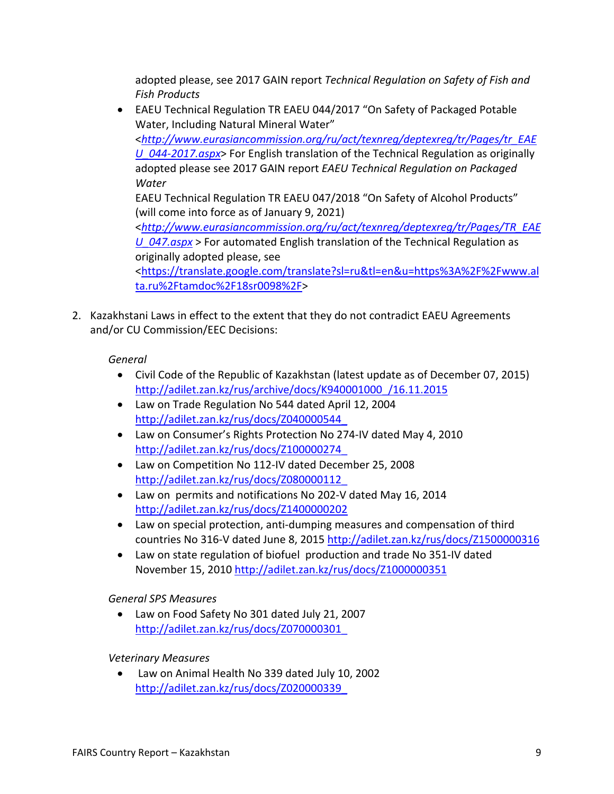adopted please, see 2017 GAIN report *Technical Regulation on Safety of Fish and Fish Products*

- EAEU Technical Regulation TR EAEU 044/2017 "On Safety of Packaged Potable Water, Including Natural Mineral Water" <*[http://www.eurasiancommission.org/ru/act/texnreg/deptexreg/tr/Pages/tr\\_EAE](http://www.eurasiancommission.org/ru/act/texnreg/deptexreg/tr/Pages/tr_EAEU_044-2017.aspx) [U\\_044-2017.aspx](http://www.eurasiancommission.org/ru/act/texnreg/deptexreg/tr/Pages/tr_EAEU_044-2017.aspx)*> For English translation of the Technical Regulation as originally adopted please see 2017 GAIN report *EAEU Technical Regulation on Packaged Water* EAEU Technical Regulation TR EAEU 047/2018 "On Safety of Alcohol Products" (will come into force as of January 9, 2021) <*[http://www.eurasiancommission.org/ru/act/texnreg/deptexreg/tr/Pages/TR\\_EAE](http://www.eurasiancommission.org/ru/act/texnreg/deptexreg/tr/Pages/TR_EAEU_047.aspx) [U\\_047.aspx](http://www.eurasiancommission.org/ru/act/texnreg/deptexreg/tr/Pages/TR_EAEU_047.aspx)* > For automated English translation of the Technical Regulation as originally adopted please, see <[https://translate.google.com/translate?sl=ru&tl=en&u=https%3A%2F%2Fwww.al](https://translate.google.com/translate?sl=ru&tl=en&u=https://www.alta.ru/tamdoc/18sr0098/) [ta.ru%2Ftamdoc%2F18sr0098%2F](https://translate.google.com/translate?sl=ru&tl=en&u=https://www.alta.ru/tamdoc/18sr0098/)>
- 2. Kazakhstani Laws in effect to the extent that they do not contradict EAEU Agreements and/or CU Commission/EEC Decisions:

# *General*

- Civil Code of the Republic of Kazakhstan (latest update as of December 07, 2015) [http://adilet.zan.kz/rus/archive/docs/K940001000\\_/16.11.2015](http://adilet.zan.kz/rus/archive/docs/K940001000_/16.11.2015)
- Law on Trade Regulation No 544 dated April 12, 2004 [http://adilet.zan.kz/rus/docs/Z040000544\\_](http://adilet.zan.kz/rus/docs/Z040000544_)
- Law on Consumer's Rights Protection No 274-IV dated May 4, 2010 [http://adilet.zan.kz/rus/docs/Z100000274\\_](http://adilet.zan.kz/rus/docs/Z100000274_)
- Law on Competition No 112-IV dated December 25, 2008 [http://adilet.zan.kz/rus/docs/Z080000112\\_](http://adilet.zan.kz/rus/docs/Z080000112_)
- Law on permits and notifications No 202-V dated May 16, 2014 <http://adilet.zan.kz/rus/docs/Z1400000202>
- Law on special protection, anti-dumping measures and compensation of third countries No 316-V dated June 8, 2015 <http://adilet.zan.kz/rus/docs/Z1500000316>
- Law on state regulation of biofuel production and trade No 351-IV dated November 15, 2010<http://adilet.zan.kz/rus/docs/Z1000000351>

# *General SPS Measures*

 Law on Food Safety No 301 dated July 21, 2007 [http://adilet.zan.kz/rus/docs/Z070000301\\_](http://adilet.zan.kz/rus/docs/Z070000301_)

# *Veterinary Measures*

 Law on Animal Health No 339 dated July 10, 2002 [http://adilet.zan.kz/rus/docs/Z020000339\\_](http://adilet.zan.kz/rus/docs/Z020000339_)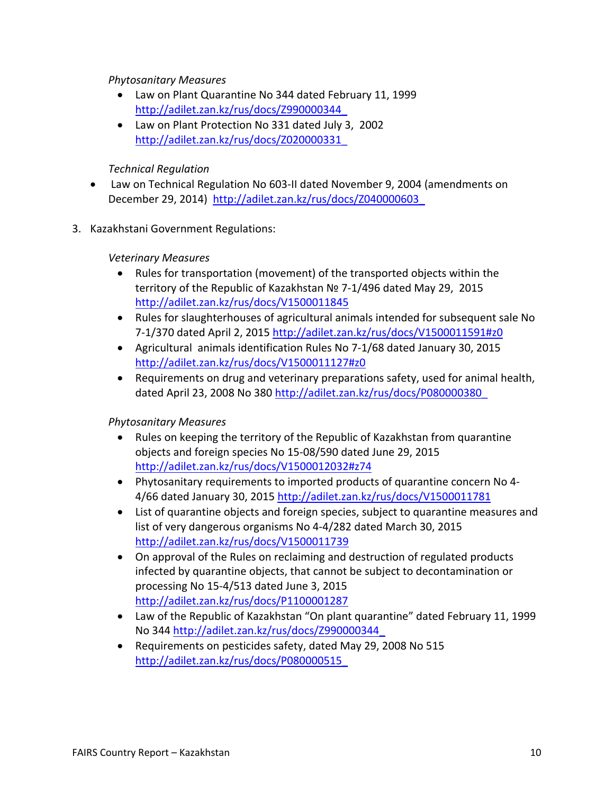## *Phytosanitary Measures*

- Law on Plant Quarantine No 344 dated February 11, 1999 [http://adilet.zan.kz/rus/docs/Z990000344\\_](http://adilet.zan.kz/rus/docs/Z990000344_)
- Law on Plant Protection No 331 dated July 3, 2002 [http://adilet.zan.kz/rus/docs/Z020000331\\_](http://adilet.zan.kz/rus/docs/Z020000331_)

## *Technical Regulation*

- Law on Technical Regulation No 603-II dated November 9, 2004 (amendments on December 29, 2014) [http://adilet.zan.kz/rus/docs/Z040000603\\_](http://adilet.zan.kz/rus/docs/Z040000603_)
- 3. Kazakhstani Government Regulations:

## *Veterinary Measures*

- Rules for transportation (movement) of the transported objects within the territory of the Republic of Kazakhstan № 7-1/496 dated May 29, 2015 <http://adilet.zan.kz/rus/docs/V1500011845>
- Rules for slaughterhouses of agricultural animals intended for subsequent sale No 7-1/370 dated April 2, 2015 <http://adilet.zan.kz/rus/docs/V1500011591#z0>
- Agricultural animals identification Rules No 7-1/68 dated January 30, 2015 <http://adilet.zan.kz/rus/docs/V1500011127#z0>
- Requirements on drug and veterinary preparations safety, used for animal health, dated April 23, 2008 No 380 [http://adilet.zan.kz/rus/docs/P080000380\\_](http://adilet.zan.kz/rus/docs/P080000380_)

# *Phytosanitary Measures*

- Rules on keeping the territory of the Republic of Kazakhstan from quarantine objects and foreign species No 15-08/590 dated June 29, 2015 <http://adilet.zan.kz/rus/docs/V1500012032#z74>
- Phytosanitary requirements to imported products of quarantine concern No 4- 4/66 dated January 30, 2015 <http://adilet.zan.kz/rus/docs/V1500011781>
- List of quarantine objects and foreign species, subject to quarantine measures and list of very dangerous organisms No 4-4/282 dated March 30, 2015 <http://adilet.zan.kz/rus/docs/V1500011739>
- On approval of the Rules on reclaiming and destruction of regulated products infected by quarantine objects, that cannot be subject to decontamination or processing No 15-4/513 dated June 3, 2015 <http://adilet.zan.kz/rus/docs/P1100001287>
- Law of the Republic of Kazakhstan "On plant quarantine" dated February 11, 1999 No 344 [http://adilet.zan.kz/rus/docs/Z990000344\\_](http://adilet.zan.kz/rus/docs/Z990000344_)
- Requirements on pesticides safety, dated May 29, 2008 No 515 [http://adilet.zan.kz/rus/docs/P080000515\\_](http://adilet.zan.kz/rus/docs/P080000515_)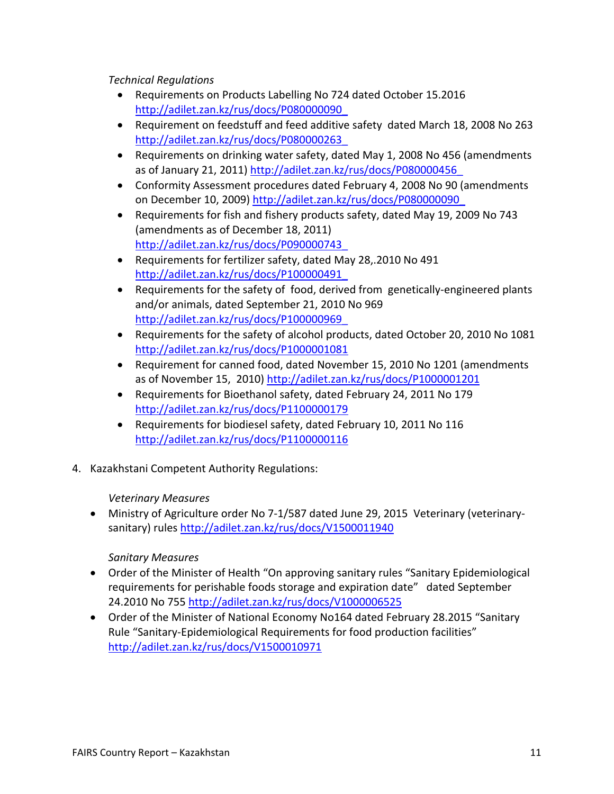*Technical Regulations*

- Requirements on Products Labelling No 724 dated October 15.2016 [http://adilet.zan.kz/rus/docs/P080000090\\_](http://adilet.zan.kz/rus/docs/P080000090_)
- Requirement on feedstuff and feed additive safety dated March 18, 2008 No 263 [http://adilet.zan.kz/rus/docs/P080000263\\_](http://adilet.zan.kz/rus/docs/P080000263_)
- Requirements on drinking water safety, dated May 1, 2008 No 456 (amendments as of January 21, 2011) [http://adilet.zan.kz/rus/docs/P080000456\\_](http://adilet.zan.kz/rus/docs/P080000456_)
- Conformity Assessment procedures dated February 4, 2008 No 90 (amendments on December 10, 2009) [http://adilet.zan.kz/rus/docs/P080000090\\_](http://adilet.zan.kz/rus/docs/P080000090_)
- Requirements for fish and fishery products safety, dated May 19, 2009 No 743 (amendments as of December 18, 2011) [http://adilet.zan.kz/rus/docs/P090000743\\_](http://adilet.zan.kz/rus/docs/P090000743_)
- Requirements for fertilizer safety, dated May 28,.2010 No 491 [http://adilet.zan.kz/rus/docs/P100000491\\_](http://adilet.zan.kz/rus/docs/P100000491_)
- Requirements for the safety of food, derived from genetically-engineered plants and/or animals, dated September 21, 2010 No 969 [http://adilet.zan.kz/rus/docs/P100000969\\_](http://adilet.zan.kz/rus/docs/P100000969_)
- Requirements for the safety of alcohol products, dated October 20, 2010 No 1081 <http://adilet.zan.kz/rus/docs/P1000001081>
- Requirement for canned food, dated November 15, 2010 No 1201 (amendments as of November 15, 2010)<http://adilet.zan.kz/rus/docs/P1000001201>
- Requirements for Bioethanol safety, dated February 24, 2011 No 179 <http://adilet.zan.kz/rus/docs/P1100000179>
- Requirements for biodiesel safety, dated February 10, 2011 No 116 <http://adilet.zan.kz/rus/docs/P1100000116>
- 4. Kazakhstani Competent Authority Regulations:

# *Veterinary Measures*

 Ministry of Agriculture order No 7-1/587 dated June 29, 2015 Veterinary (veterinarysanitary) rules <http://adilet.zan.kz/rus/docs/V1500011940>

# *Sanitary Measures*

- Order of the Minister of Health "On approving sanitary rules "Sanitary Epidemiological requirements for perishable foods storage and expiration date" dated September 24.2010 No 755 <http://adilet.zan.kz/rus/docs/V1000006525>
- <span id="page-10-0"></span> Order of the Minister of National Economy No164 dated February 28.2015 "Sanitary Rule "Sanitary-Epidemiological Requirements for food production facilities" <http://adilet.zan.kz/rus/docs/V1500010971>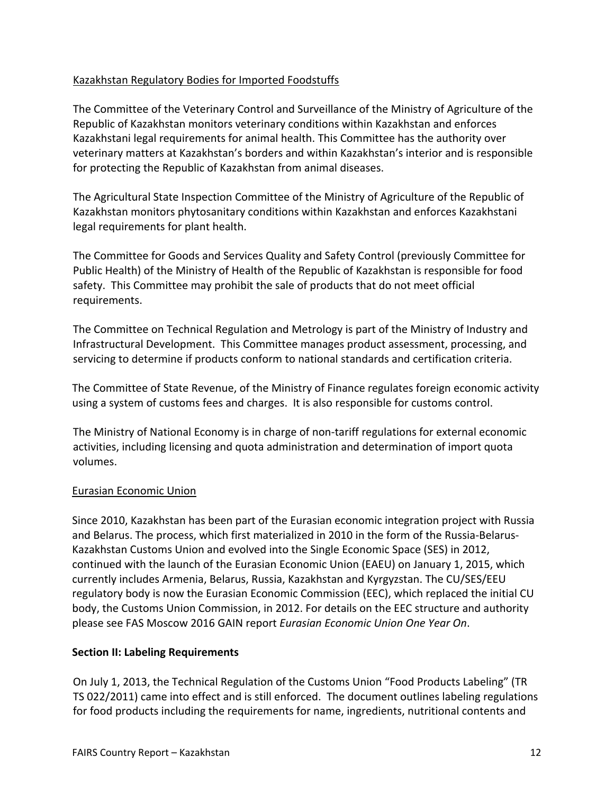# Kazakhstan Regulatory Bodies for Imported Foodstuffs

The Committee of the Veterinary Control and Surveillance of the Ministry of Agriculture of the Republic of Kazakhstan monitors veterinary conditions within Kazakhstan and enforces Kazakhstani legal requirements for animal health. This Committee has the authority over veterinary matters at Kazakhstan's borders and within Kazakhstan's interior and is responsible for protecting the Republic of Kazakhstan from animal diseases.

The Agricultural State Inspection Committee of the Ministry of Agriculture of the Republic of Kazakhstan monitors phytosanitary conditions within Kazakhstan and enforces Kazakhstani legal requirements for plant health.

The Committee for Goods and Services Quality and Safety Control (previously Committee for Public Health) of the Ministry of Health of the Republic of Kazakhstan is responsible for food safety. This Committee may prohibit the sale of products that do not meet official requirements.

The Committee on Technical Regulation and Metrology is part of the Ministry of Industry and Infrastructural Development. This Committee manages product assessment, processing, and servicing to determine if products conform to national standards and certification criteria.

The Committee of State Revenue, of the Ministry of Finance regulates foreign economic activity using a system of customs fees and charges. It is also responsible for customs control.

The Ministry of National Economy is in charge of non-tariff regulations for external economic activities, including licensing and quota administration and determination of import quota volumes.

# <span id="page-11-0"></span>Eurasian Economic Union

Since 2010, Kazakhstan has been part of the Eurasian economic integration project with Russia and Belarus. The process, which first materialized in 2010 in the form of the Russia-Belarus-Kazakhstan Customs Union and evolved into the Single Economic Space (SES) in 2012, continued with the launch of the Eurasian Economic Union (EAEU) on January 1, 2015, which currently includes Armenia, Belarus, Russia, Kazakhstan and Kyrgyzstan. The CU/SES/EEU regulatory body is now the Eurasian Economic Commission (EEC), which replaced the initial CU body, the Customs Union Commission, in 2012. For details on the EEC structure and authority please see FAS Moscow 2016 GAIN report *Eurasian Economic Union One Year On*.

# <span id="page-11-1"></span>**Section II: Labeling Requirements**

On July 1, 2013, the Technical Regulation of the Customs Union "Food Products Labeling" (TR TS 022/2011) came into effect and is still enforced. The document outlines labeling regulations for food products including the requirements for name, ingredients, nutritional contents and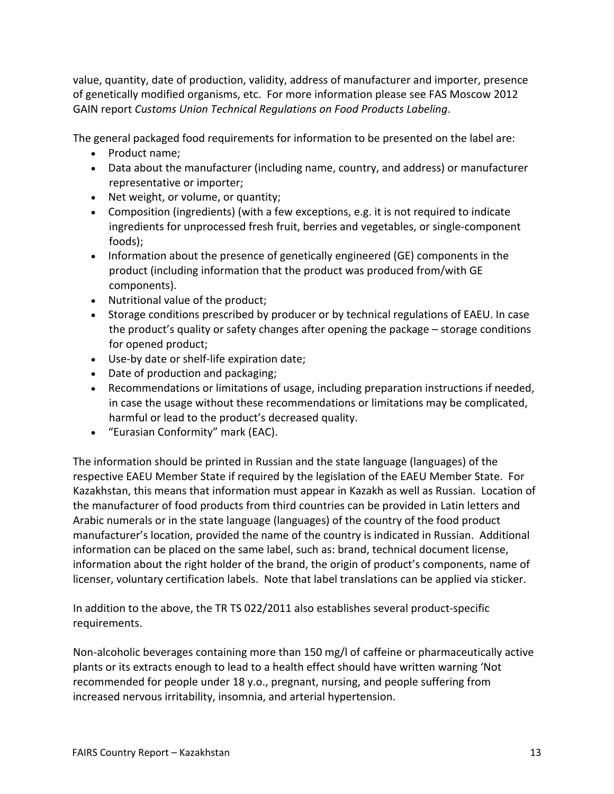value, quantity, date of production, validity, address of manufacturer and importer, presence of genetically modified organisms, etc. For more information please see FAS Moscow 2012 GAIN report *Customs Union Technical Regulations on Food Products Labeling*.

The general packaged food requirements for information to be presented on the label are:

- Product name;
- Data about the manufacturer (including name, country, and address) or manufacturer representative or importer;
- Net weight, or volume, or quantity;
- Composition (ingredients) (with a few exceptions, e.g. it is not required to indicate ingredients for unprocessed fresh fruit, berries and vegetables, or single-component foods);
- Information about the presence of genetically engineered (GE) components in the product (including information that the product was produced from/with GE components).
- Nutritional value of the product;
- Storage conditions prescribed by producer or by technical regulations of EAEU. In case the product's quality or safety changes after opening the package – storage conditions for opened product;
- Use-by date or shelf-life expiration date;
- Date of production and packaging;
- Recommendations or limitations of usage, including preparation instructions if needed, in case the usage without these recommendations or limitations may be complicated, harmful or lead to the product's decreased quality.
- "Eurasian Conformity" mark (EAC).

The information should be printed in Russian and the state language (languages) of the respective EAEU Member State if required by the legislation of the EAEU Member State. For Kazakhstan, this means that information must appear in Kazakh as well as Russian. Location of the manufacturer of food products from third countries can be provided in Latin letters and Arabic numerals or in the state language (languages) of the country of the food product manufacturer's location, provided the name of the country is indicated in Russian. Additional information can be placed on the same label, such as: brand, technical document license, information about the right holder of the brand, the origin of product's components, name of licenser, voluntary certification labels. Note that label translations can be applied via sticker.

In addition to the above, the TR TS 022/2011 also establishes several product-specific requirements.

Non-alcoholic beverages containing more than 150 mg/l of caffeine or pharmaceutically active plants or its extracts enough to lead to a health effect should have written warning 'Not recommended for people under 18 y.o., pregnant, nursing, and people suffering from increased nervous irritability, insomnia, and arterial hypertension.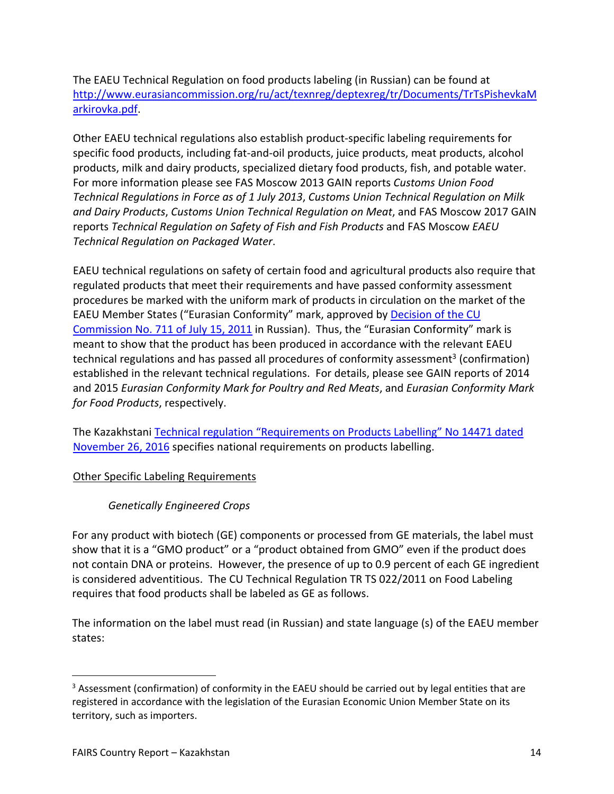The EAEU Technical Regulation on food products labeling (in Russian) can be found at [http://www.eurasiancommission.org/ru/act/texnreg/deptexreg/tr/Documents/TrTsPishevkaM](http://www.eurasiancommission.org/ru/act/texnreg/deptexreg/tr/Documents/TrTsPishevkaMarkirovka.pdf) [arkirovka.pdf](http://www.eurasiancommission.org/ru/act/texnreg/deptexreg/tr/Documents/TrTsPishevkaMarkirovka.pdf).

Other EAEU technical regulations also establish product-specific labeling requirements for specific food products, including fat-and-oil products, juice products, meat products, alcohol products, milk and dairy products, specialized dietary food products, fish, and potable water. For more information please see FAS Moscow 2013 GAIN reports *Customs Union Food Technical Regulations in Force as of 1 July 2013*, *Customs Union Technical Regulation on Milk and Dairy Products*, *Customs Union Technical Regulation on Meat*, and FAS Moscow 2017 GAIN reports *Technical Regulation on Safety of Fish and Fish Products* and FAS Moscow *EAEU Technical Regulation on Packaged Water*.

EAEU technical regulations on safety of certain food and agricultural products also require that regulated products that meet their requirements and have passed conformity assessment procedures be marked with the uniform mark of products in circulation on the market of the EAEU Member States ("Eurasian Conformity" mark, approved by [Decision of the CU](http://www.eurasiancommission.org/ru/act/texnreg/deptexreg/normbaza/Pages/EAC.aspx)  [Commission No. 711 of July 15, 2011](http://www.eurasiancommission.org/ru/act/texnreg/deptexreg/normbaza/Pages/EAC.aspx) in Russian). Thus, the "Eurasian Conformity" mark is meant to show that the product has been produced in accordance with the relevant EAEU technical regulations and has passed all procedures of conformity assessment<sup>3</sup> (confirmation) established in the relevant technical regulations. For details, please see GAIN reports of 2014 and 2015 *Eurasian Conformity Mark for Poultry and Red Meats*, and *Eurasian Conformity Mark for Food Products*, respectively.

The Kazakhstani [Technical regulation "Requirements on Products Labelling" No 14471 dated](http://adilet.zan.kz/rus/docs/V1600014471)  [November 26, 2016](http://adilet.zan.kz/rus/docs/V1600014471) specifies national requirements on products labelling.

# <span id="page-13-0"></span>Other Specific Labeling Requirements

# <span id="page-13-1"></span>*Genetically Engineered Crops*

For any product with biotech (GE) components or processed from GE materials, the label must show that it is a "GMO product" or a "product obtained from GMO" even if the product does not contain DNA or proteins. However, the presence of up to 0.9 percent of each GE ingredient is considered adventitious. The CU Technical Regulation TR TS 022/2011 on Food Labeling requires that food products shall be labeled as GE as follows.

The information on the label must read (in Russian) and state language (s) of the EAEU member states:

<sup>&</sup>lt;sup>3</sup> Assessment (confirmation) of conformity in the EAEU should be carried out by legal entities that are registered in accordance with the legislation of the Eurasian Economic Union Member State on its territory, such as importers.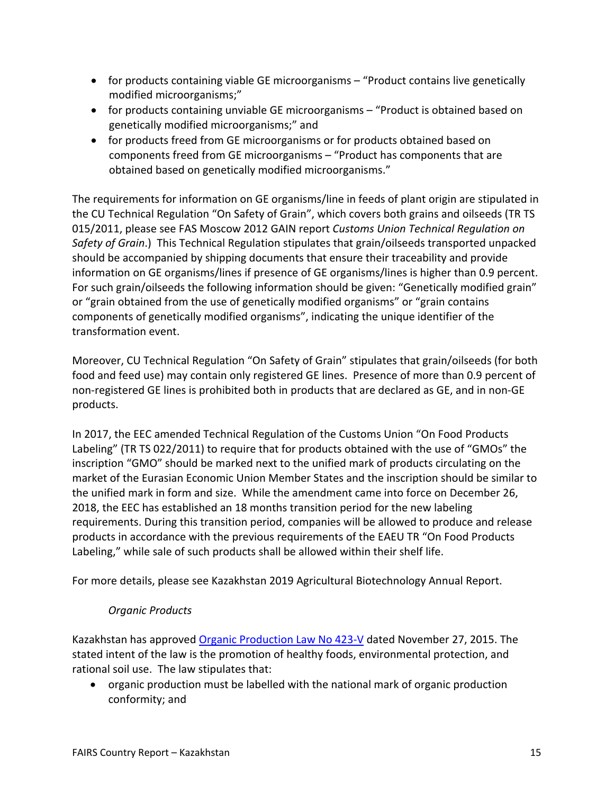- for products containing viable GE microorganisms "Product contains live genetically modified microorganisms;"
- for products containing unviable GE microorganisms "Product is obtained based on genetically modified microorganisms;" and
- for products freed from GE microorganisms or for products obtained based on components freed from GE microorganisms – "Product has components that are obtained based on genetically modified microorganisms."

The requirements for information on GE organisms/line in feeds of plant origin are stipulated in the CU Technical Regulation "On Safety of Grain", which covers both grains and oilseeds (TR TS 015/2011, please see FAS Moscow 2012 GAIN report *Customs Union Technical Regulation on Safety of Grain*.) This Technical Regulation stipulates that grain/oilseeds transported unpacked should be accompanied by shipping documents that ensure their traceability and provide information on GE organisms/lines if presence of GE organisms/lines is higher than 0.9 percent. For such grain/oilseeds the following information should be given: "Genetically modified grain" or "grain obtained from the use of genetically modified organisms" or "grain contains components of genetically modified organisms", indicating the unique identifier of the transformation event.

Moreover, CU Technical Regulation "On Safety of Grain" stipulates that grain/oilseeds (for both food and feed use) may contain only registered GE lines. Presence of more than 0.9 percent of non-registered GE lines is prohibited both in products that are declared as GE, and in non-GE products.

In 2017, the EEC amended Technical Regulation of the Customs Union "On Food Products Labeling" (TR TS 022/2011) to require that for products obtained with the use of "GMOs" the inscription "GMO" should be marked next to the unified mark of products circulating on the market of the Eurasian Economic Union Member States and the inscription should be similar to the unified mark in form and size. While the amendment came into force on December 26, 2018, the EEC has established an 18 months transition period for the new labeling requirements. During this transition period, companies will be allowed to produce and release products in accordance with the previous requirements of the EAEU TR "On Food Products Labeling," while sale of such products shall be allowed within their shelf life.

For more details, please see Kazakhstan 2019 Agricultural Biotechnology Annual Report.

# <span id="page-14-0"></span>*Organic Products*

Kazakhstan has approved [Organic Production Law No 423-V](http://adilet.zan.kz/rus/docs/Z1500000423) dated November 27, 2015. The stated intent of the law is the promotion of healthy foods, environmental protection, and rational soil use. The law stipulates that:

 organic production must be labelled with the national mark of organic production conformity; and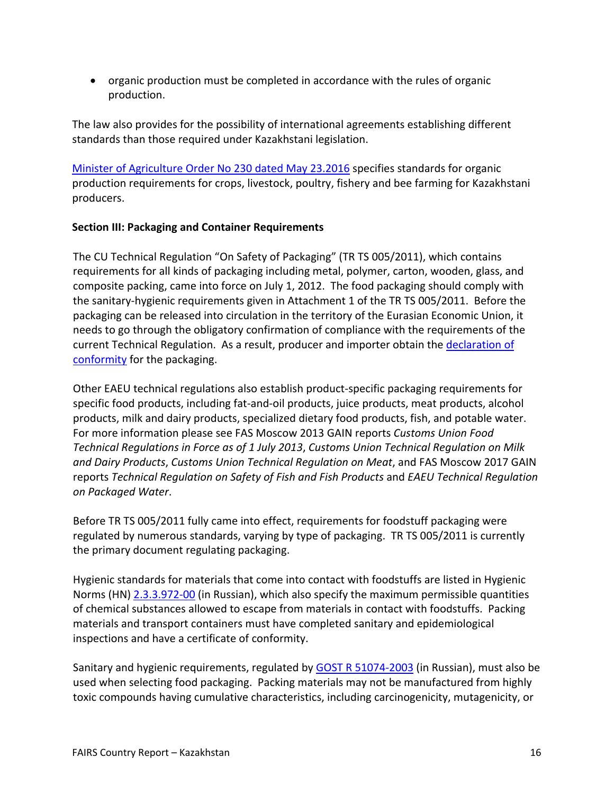organic production must be completed in accordance with the rules of organic production.

The law also provides for the possibility of international agreements establishing different standards than those required under Kazakhstani legislation.

[Minister of Agriculture Order No 230 dated May 23.2016](http://adilet.zan.kz/rus/docs/V1600013875) specifies standards for organic production requirements for crops, livestock, poultry, fishery and bee farming for Kazakhstani producers.

# <span id="page-15-0"></span>**Section III: Packaging and Container Requirements**

The CU Technical Regulation "On Safety of Packaging" (TR TS 005/2011), which contains requirements for all kinds of packaging including metal, polymer, carton, wooden, glass, and composite packing, came into force on July 1, 2012. The food packaging should comply with the sanitary-hygienic requirements given in Attachment 1 of the TR TS 005/2011. Before the packaging can be released into circulation in the territory of the Eurasian Economic Union, it needs to go through the obligatory confirmation of compliance with the requirements of the current Technical Regulation. As a result, producer and importer obtain the declaration of [conformity](#page-18-1) for the packaging.

Other EAEU technical regulations also establish product-specific packaging requirements for specific food products, including fat-and-oil products, juice products, meat products, alcohol products, milk and dairy products, specialized dietary food products, fish, and potable water. For more information please see FAS Moscow 2013 GAIN reports *Customs Union Food Technical Regulations in Force as of 1 July 2013*, *Customs Union Technical Regulation on Milk and Dairy Products*, *Customs Union Technical Regulation on Meat*, and FAS Moscow 2017 GAIN reports *Technical Regulation on Safety of Fish and Fish Products* and *EAEU Technical Regulation on Packaged Water*.

Before TR TS 005/2011 fully came into effect, requirements for foodstuff packaging were regulated by numerous standards, varying by type of packaging. TR TS 005/2011 is currently the primary document regulating packaging.

Hygienic standards for materials that come into contact with foodstuffs are listed in Hygienic Norms (HN) [2.3.3.972-00](http://docs.cntd.ru/document/1200006891) (in Russian), which also specify the maximum permissible quantities of chemical substances allowed to escape from materials in contact with foodstuffs. Packing materials and transport containers must have completed sanitary and epidemiological inspections and have a certificate of conformity.

Sanitary and hygienic requirements, regulated by [GOST R 51074-2003](http://docs.cntd.ru/document/1200035978) (in Russian), must also be used when selecting food packaging. Packing materials may not be manufactured from highly toxic compounds having cumulative characteristics, including carcinogenicity, mutagenicity, or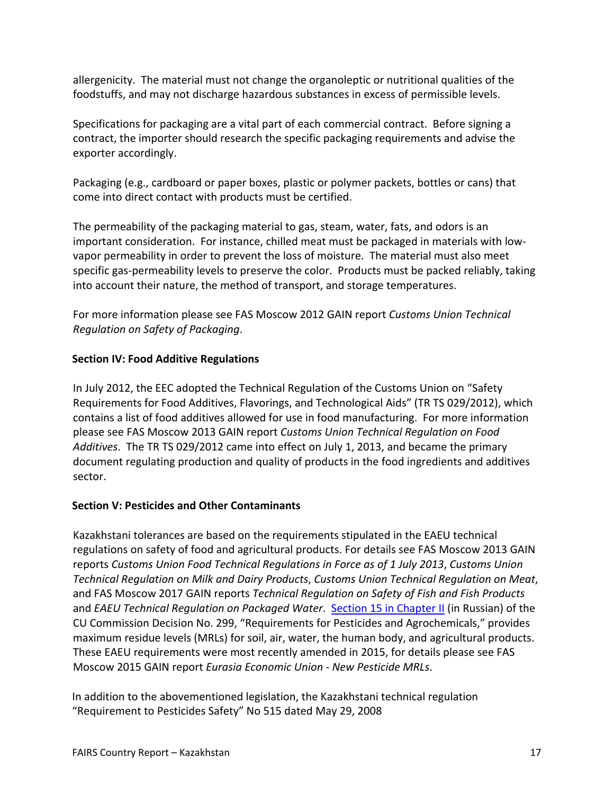allergenicity. The material must not change the organoleptic or nutritional qualities of the foodstuffs, and may not discharge hazardous substances in excess of permissible levels.

Specifications for packaging are a vital part of each commercial contract. Before signing a contract, the importer should research the specific packaging requirements and advise the exporter accordingly.

Packaging (e.g., cardboard or paper boxes, plastic or polymer packets, bottles or cans) that come into direct contact with products must be certified.

The permeability of the packaging material to gas, steam, water, fats, and odors is an important consideration. For instance, chilled meat must be packaged in materials with lowvapor permeability in order to prevent the loss of moisture. The material must also meet specific gas-permeability levels to preserve the color. Products must be packed reliably, taking into account their nature, the method of transport, and storage temperatures.

For more information please see FAS Moscow 2012 GAIN report *Customs Union Technical Regulation on Safety of Packaging*.

# <span id="page-16-0"></span>**Section IV: Food Additive Regulations**

In July 2012, the EEC adopted the Technical Regulation of the Customs Union on "Safety Requirements for Food Additives, Flavorings, and Technological Aids" (TR TS 029/2012), which contains a list of food additives allowed for use in food manufacturing. For more information please see FAS Moscow 2013 GAIN report *Customs Union Technical Regulation on Food Additives*. The TR TS 029/2012 came into effect on July 1, 2013, and became the primary document regulating production and quality of products in the food ingredients and additives sector.

# <span id="page-16-1"></span>**Section V: Pesticides and Other Contaminants**

Kazakhstani tolerances are based on the requirements stipulated in the EAEU technical regulations on safety of food and agricultural products. For details see FAS Moscow 2013 GAIN reports *Customs Union Food Technical Regulations in Force as of 1 July 2013*, *Customs Union Technical Regulation on Milk and Dairy Products*, *Customs Union Technical Regulation on Meat*, and FAS Moscow 2017 GAIN reports *Technical Regulation on Safety of Fish and Fish Products* and *EAEU Technical Regulation on Packaged Water*. [Section 15 in Chapter II](http://www.eurasiancommission.org/ru/act/texnreg/depsanmer/sanmeri/Documents/%D1%80%D0%B0%D0%B7%D0%B4%D0%B5%D0%BB%2015%20%D0%95%D0%A1%D0%A2.pdf) (in Russian) of the CU Commission Decision No. 299, "Requirements for Pesticides and Agrochemicals," provides maximum residue levels (MRLs) for soil, air, water, the human body, and agricultural products. These EAEU requirements were most recently amended in 2015, for details please see FAS Moscow 2015 GAIN report *Eurasia Economic Union - New Pesticide MRLs*.

In addition to the abovementioned legislation, the Kazakhstani technical regulation "Requirement to Pesticides Safety" No 515 dated May 29, 2008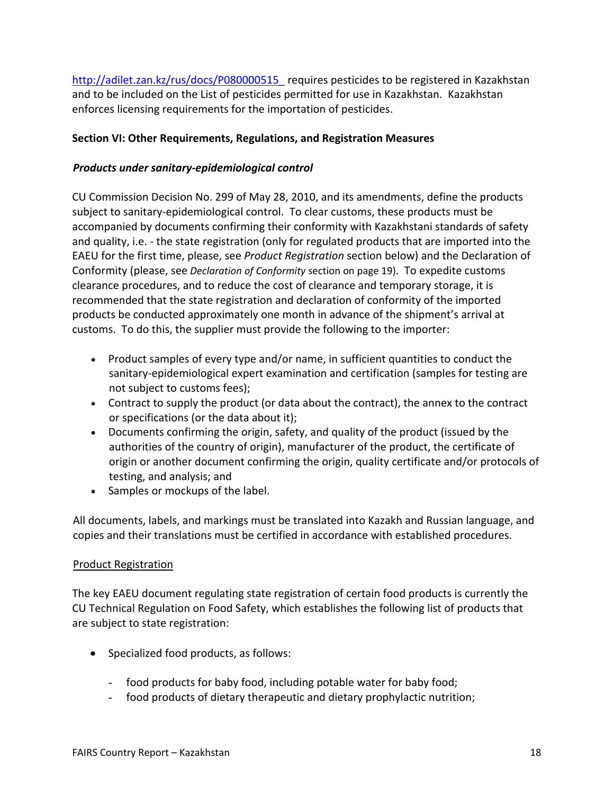http://adilet.zan.kz/rus/docs/P080000515 requires pesticides to be registered in Kazakhstan and to be included on the List of pesticides permitted for use in Kazakhstan. Kazakhstan enforces licensing requirements for the importation of pesticides.

## <span id="page-17-0"></span>**Section VI: Other Requirements, Regulations, and Registration Measures**

## <span id="page-17-1"></span>*Products under sanitary-epidemiological control*

CU Commission Decision No. 299 of May 28, 2010, and its amendments, define the products subject to sanitary-epidemiological control. To clear customs, these products must be accompanied by documents confirming their conformity with Kazakhstani standards of safety and quality, i.e. - the state registration (only for regulated products that are imported into the EAEU for the first time, please, see *Product Registration* section below) and the Declaration of Conformity (please, see *Declaration of Conformity* section on page 19). To expedite customs clearance procedures, and to reduce the cost of clearance and temporary storage, it is recommended that the state registration and declaration of conformity of the imported products be conducted approximately one month in advance of the shipment's arrival at customs. To do this, the supplier must provide the following to the importer:

- Product samples of every type and/or name, in sufficient quantities to conduct the sanitary-epidemiological expert examination and certification (samples for testing are not subject to customs fees);
- Contract to supply the product (or data about the contract), the annex to the contract or specifications (or the data about it);
- Documents confirming the origin, safety, and quality of the product (issued by the authorities of the country of origin), manufacturer of the product, the certificate of origin or another document confirming the origin, quality certificate and/or protocols of testing, and analysis; and
- Samples or mockups of the label.

All documents, labels, and markings must be translated into Kazakh and Russian language, and copies and their translations must be certified in accordance with established procedures.

#### <span id="page-17-2"></span>Product Registration

The key EAEU document regulating state registration of certain food products is currently the CU Technical Regulation on Food Safety, which establishes the following list of products that are subject to state registration:

- Specialized food products, as follows:
	- food products for baby food, including potable water for baby food;
	- food products of dietary therapeutic and dietary prophylactic nutrition;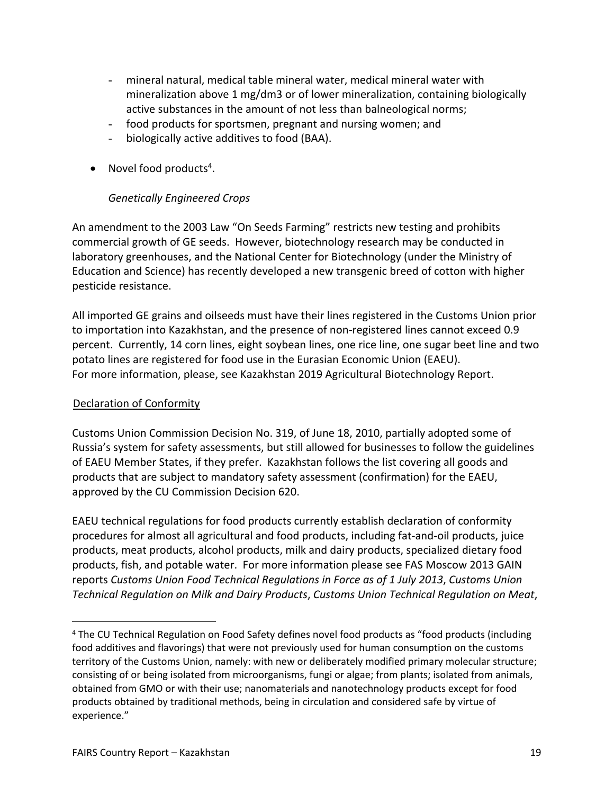- mineral natural, medical table mineral water, medical mineral water with mineralization above 1 mg/dm3 or of lower mineralization, containing biologically active substances in the amount of not less than balneological norms;
- food products for sportsmen, pregnant and nursing women; and
- biologically active additives to food (BAA).
- Novel food products<sup>4</sup>.

# <span id="page-18-0"></span>*Genetically Engineered Crops*

An amendment to the 2003 Law "On Seeds Farming" restricts new testing and prohibits commercial growth of GE seeds. However, biotechnology research may be conducted in laboratory greenhouses, and the National Center for Biotechnology (under the Ministry of Education and Science) has recently developed a new transgenic breed of cotton with higher pesticide resistance.

All imported GE grains and oilseeds must have their lines registered in the Customs Union prior to importation into Kazakhstan, and the presence of non-registered lines cannot exceed 0.9 percent. Currently, 14 corn lines, eight soybean lines, one rice line, one sugar beet line and two potato lines are registered for food use in the Eurasian Economic Union (EAEU). For more information, please, see Kazakhstan 2019 Agricultural Biotechnology Report.

# <span id="page-18-1"></span>Declaration of Conformity

Customs Union Commission Decision No. 319, of June 18, 2010, partially adopted some of Russia's system for safety assessments, but still allowed for businesses to follow the guidelines of EAEU Member States, if they prefer. Kazakhstan follows the list covering all goods and products that are subject to mandatory safety assessment (confirmation) for the EAEU, approved by the CU Commission Decision 620.

EAEU technical regulations for food products currently establish declaration of conformity procedures for almost all agricultural and food products, including fat-and-oil products, juice products, meat products, alcohol products, milk and dairy products, specialized dietary food products, fish, and potable water. For more information please see FAS Moscow 2013 GAIN reports *Customs Union Food Technical Regulations in Force as of 1 July 2013*, *Customs Union Technical Regulation on Milk and Dairy Products*, *Customs Union Technical Regulation on Meat*,

<sup>&</sup>lt;sup>4</sup> The CU Technical Regulation on Food Safety defines novel food products as "food products (including food additives and flavorings) that were not previously used for human consumption on the customs territory of the Customs Union, namely: with new or deliberately modified primary molecular structure; consisting of or being isolated from microorganisms, fungi or algae; from plants; isolated from animals, obtained from GMO or with their use; nanomaterials and nanotechnology products except for food products obtained by traditional methods, being in circulation and considered safe by virtue of experience."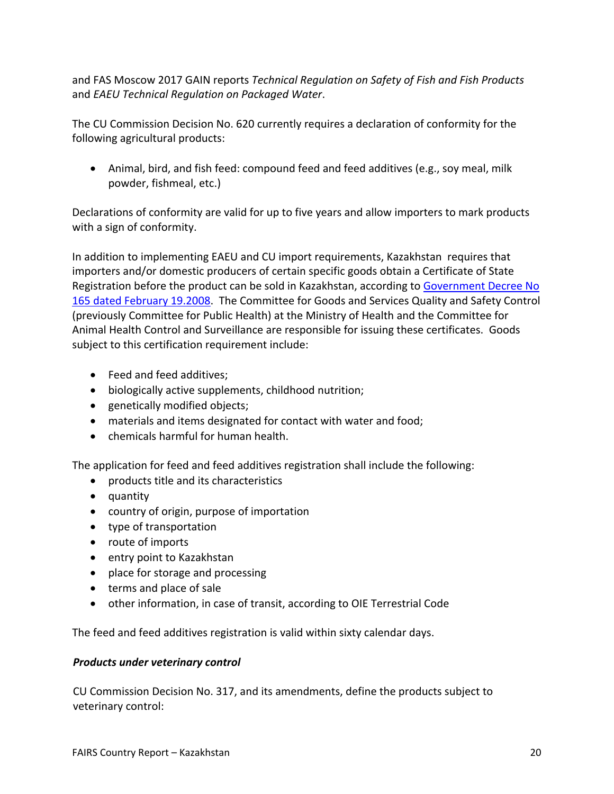and FAS Moscow 2017 GAIN reports *Technical Regulation on Safety of Fish and Fish Products* and *EAEU Technical Regulation on Packaged Water*.

The CU Commission Decision No. 620 currently requires a declaration of conformity for the following agricultural products:

 Animal, bird, and fish feed: compound feed and feed additives (e.g., soy meal, milk powder, fishmeal, etc.)

Declarations of conformity are valid for up to five years and allow importers to mark products with a sign of conformity.

In addition to implementing EAEU and CU import requirements, Kazakhstan requires that importers and/or domestic producers of certain specific goods obtain a Certificate of State Registration before the product can be sold in Kazakhstan, according to Government Decree No [165 dated February 19.2008.](http://adilet.zan.kz/rus/docs/P080000165_) The Committee for Goods and Services Quality and Safety Control (previously Committee for Public Health) at the Ministry of Health and the Committee for Animal Health Control and Surveillance are responsible for issuing these certificates. Goods subject to this certification requirement include:

- Feed and feed additives;
- biologically active supplements, childhood nutrition;
- genetically modified objects;
- materials and items designated for contact with water and food;
- chemicals harmful for human health.

The application for feed and feed additives registration shall include the following:

- products title and its characteristics
- quantity
- country of origin, purpose of importation
- type of transportation
- route of imports
- entry point to Kazakhstan
- place for storage and processing
- terms and place of sale
- other information, in case of transit, according to OIE Terrestrial Code

The feed and feed additives registration is valid within sixty calendar days.

#### <span id="page-19-0"></span>*Products under veterinary control*

CU Commission Decision No. 317, and its amendments, define the products subject to veterinary control: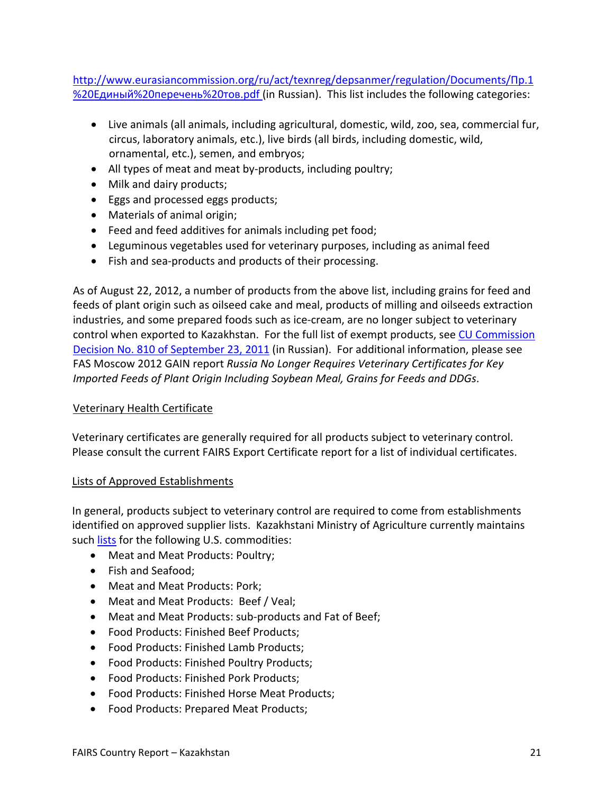[http://www.eurasiancommission.org/ru/act/texnreg/depsanmer/regulation/Documents/Пр.1](http://www.eurasiancommission.org/ru/act/texnreg/depsanmer/regulation/Documents/%D0%9F%D1%80.1%20%D0%95%D0%B4%D0%B8%D0%BD%D1%8B%D0%B9%20%D0%BF%D0%B5%D1%80%D0%B5%D1%87%D0%B5%D0%BD%D1%8C%20%D1%82%D0%BE%D0%B2.pdf) [%20Единый%20перечень%20тов.pdf](http://www.eurasiancommission.org/ru/act/texnreg/depsanmer/regulation/Documents/%D0%9F%D1%80.1%20%D0%95%D0%B4%D0%B8%D0%BD%D1%8B%D0%B9%20%D0%BF%D0%B5%D1%80%D0%B5%D1%87%D0%B5%D0%BD%D1%8C%20%D1%82%D0%BE%D0%B2.pdf) (in Russian). This list includes the following categories:

- Live animals (all animals, including agricultural, domestic, wild, zoo, sea, commercial fur, circus, laboratory animals, etc.), live birds (all birds, including domestic, wild, ornamental, etc.), semen, and embryos;
- All types of meat and meat by-products, including poultry;
- Milk and dairy products;
- Eggs and processed eggs products;
- Materials of animal origin;
- Feed and feed additives for animals including pet food;
- Leguminous vegetables used for veterinary purposes, including as animal feed
- Fish and sea-products and products of their processing.

As of August 22, 2012, a number of products from the above list, including grains for feed and feeds of plant origin such as oilseed cake and meal, products of milling and oilseeds extraction industries, and some prepared foods such as ice-cream, are no longer subject to veterinary control when exported to Kazakhstan. For the full list of exempt products, see [CU Commission](https://www.alta.ru/tamdoc/11sr0810/)  [Decision No. 810 of September 23, 2011](https://www.alta.ru/tamdoc/11sr0810/) (in Russian). For additional information, please see FAS Moscow 2012 GAIN report *Russia No Longer Requires Veterinary Certificates for Key Imported Feeds of Plant Origin Including Soybean Meal, Grains for Feeds and DDGs*.

# <span id="page-20-0"></span>Veterinary Health Certificate

Veterinary certificates are generally required for all products subject to veterinary control. Please consult the current FAIRS Export Certificate report for a list of individual certificates.

# <span id="page-20-1"></span>Lists of Approved Establishments

In general, products subject to veterinary control are required to come from establishments identified on approved supplier lists. Kazakhstani Ministry of Agriculture currently maintains such [lists](https://moa.gov.kz/ru/documents/608) for the following U.S. commodities:

- Meat and Meat Products: Poultry;
- Fish and Seafood:
- Meat and Meat Products: Pork;
- Meat and Meat Products: Beef / Veal;
- Meat and Meat Products: sub-products and Fat of Beef;
- Food Products: Finished Beef Products;
- Food Products: Finished Lamb Products;
- Food Products: Finished Poultry Products;
- Food Products: Finished Pork Products;
- Food Products: Finished Horse Meat Products;
- Food Products: Prepared Meat Products;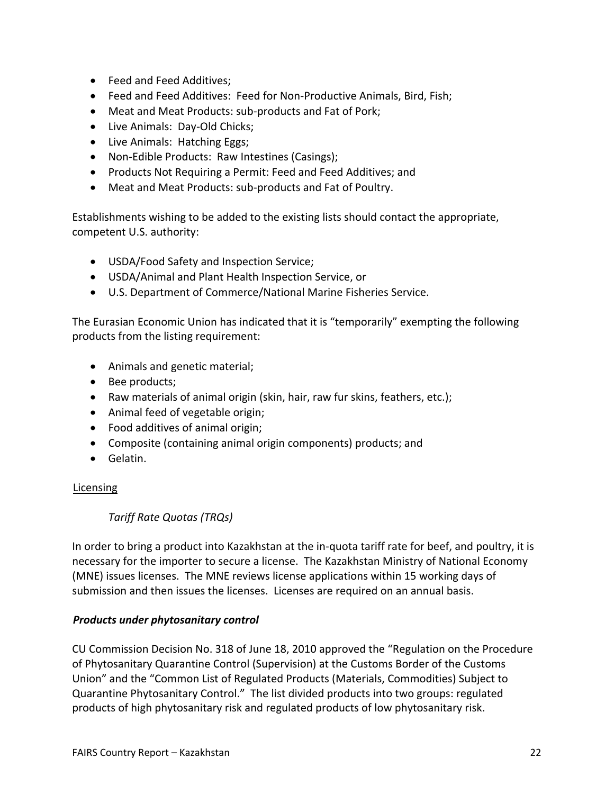- **•** Feed and Feed Additives;
- Feed and Feed Additives: Feed for Non-Productive Animals, Bird, Fish;
- Meat and Meat Products: sub-products and Fat of Pork;
- Live Animals: Day-Old Chicks;
- Live Animals: Hatching Eggs;
- Non-Edible Products: Raw Intestines (Casings);
- Products Not Requiring a Permit: Feed and Feed Additives; and
- Meat and Meat Products: sub-products and Fat of Poultry.

Establishments wishing to be added to the existing lists should contact the appropriate, competent U.S. authority:

- USDA/Food Safety and Inspection Service;
- USDA/Animal and Plant Health Inspection Service, or
- U.S. Department of Commerce/National Marine Fisheries Service.

The Eurasian Economic Union has indicated that it is "temporarily" exempting the following products from the listing requirement:

- Animals and genetic material;
- Bee products;
- Raw materials of animal origin (skin, hair, raw fur skins, feathers, etc.);
- Animal feed of vegetable origin;
- Food additives of animal origin;
- Composite (containing animal origin components) products; and
- Gelatin.

# <span id="page-21-0"></span>**Licensing**

# <span id="page-21-1"></span>*Tariff Rate Quotas (TRQs)*

In order to bring a product into Kazakhstan at the in-quota tariff rate for beef, and poultry, it is necessary for the importer to secure a license. The Kazakhstan Ministry of National Economy (MNE) issues licenses. The MNE reviews license applications within 15 working days of submission and then issues the licenses. Licenses are required on an annual basis.

# <span id="page-21-2"></span>*Products under phytosanitary control*

CU Commission Decision No. 318 of June 18, 2010 approved the "Regulation on the Procedure of Phytosanitary Quarantine Control (Supervision) at the Customs Border of the Customs Union" and the "Common List of Regulated Products (Materials, Commodities) Subject to Quarantine Phytosanitary Control." The list divided products into two groups: regulated products of high phytosanitary risk and regulated products of low phytosanitary risk.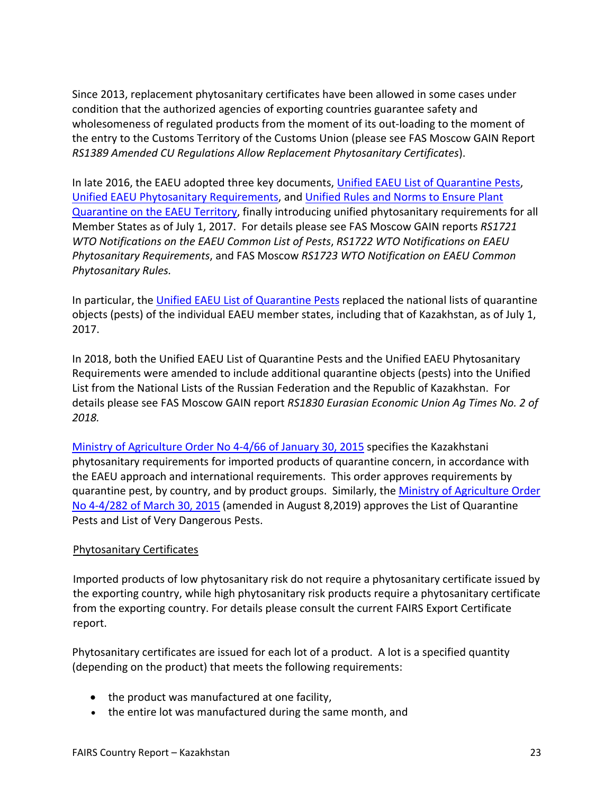Since 2013, replacement phytosanitary certificates have been allowed in some cases under condition that the authorized agencies of exporting countries guarantee safety and wholesomeness of regulated products from the moment of its out-loading to the moment of the entry to the Customs Territory of the Customs Union (please see FAS Moscow GAIN Report *RS1389 Amended CU Regulations Allow Replacement Phytosanitary Certificates*).

In late 2016, the EAEU adopted three key documents, [Unified EAEU List of Quarantine Pests,](https://www.alta.ru/tamdoc/16sr0158/) [Unified EAEU Phytosanitary Requirements,](https://www.alta.ru/tamdoc/16sr0157/) and [Unified Rules and Norms to Ensure Plant](https://www.alta.ru/tamdoc/16sr0159/)  [Quarantine on the EAEU Territory](https://www.alta.ru/tamdoc/16sr0159/), finally introducing unified phytosanitary requirements for all Member States as of July 1, 2017. For details please see FAS Moscow GAIN reports *RS1721 WTO Notifications on the EAEU Common List of Pests*, *RS1722 WTO Notifications on EAEU Phytosanitary Requirements*, and FAS Moscow *RS1723 WTO Notification on EAEU Common Phytosanitary Rules.*

In particular, the [Unified EAEU List of Quarantine Pests](https://www.alta.ru/tamdoc/16sr0158/) replaced the national lists of quarantine objects (pests) of the individual EAEU member states, including that of Kazakhstan, as of July 1, 2017.

In 2018, both the Unified EAEU List of Quarantine Pests and the Unified EAEU Phytosanitary Requirements were amended to include additional quarantine objects (pests) into the Unified List from the National Lists of the Russian Federation and the Republic of Kazakhstan. For details please see FAS Moscow GAIN report *RS1830 Eurasian Economic Union Ag Times No. 2 of 2018.* 

[Ministry of Agriculture Order No 4-4/66 of January 30, 2015](http://adilet.zan.kz/rus/docs/V1500011781) specifies the Kazakhstani phytosanitary requirements for imported products of quarantine concern, in accordance with the EAEU approach and international requirements. This order approves requirements by quarantine pest, by country, and by product groups. Similarly, the [Ministry of Agriculture Order](http://adilet.zan.kz/rus/docs/V1500011739#z5)  [No 4-4/282 of March 30, 2015](http://adilet.zan.kz/rus/docs/V1500011739#z5) (amended in August 8,2019) approves the List of Quarantine Pests and List of Very Dangerous Pests.

# <span id="page-22-0"></span>Phytosanitary Certificates

Imported products of low phytosanitary risk do not require a phytosanitary certificate issued by the exporting country, while high phytosanitary risk products require a phytosanitary certificate from the exporting country. For details please consult the current FAIRS Export Certificate report.

Phytosanitary certificates are issued for each lot of a product. A lot is a specified quantity (depending on the product) that meets the following requirements:

- the product was manufactured at one facility,
- the entire lot was manufactured during the same month, and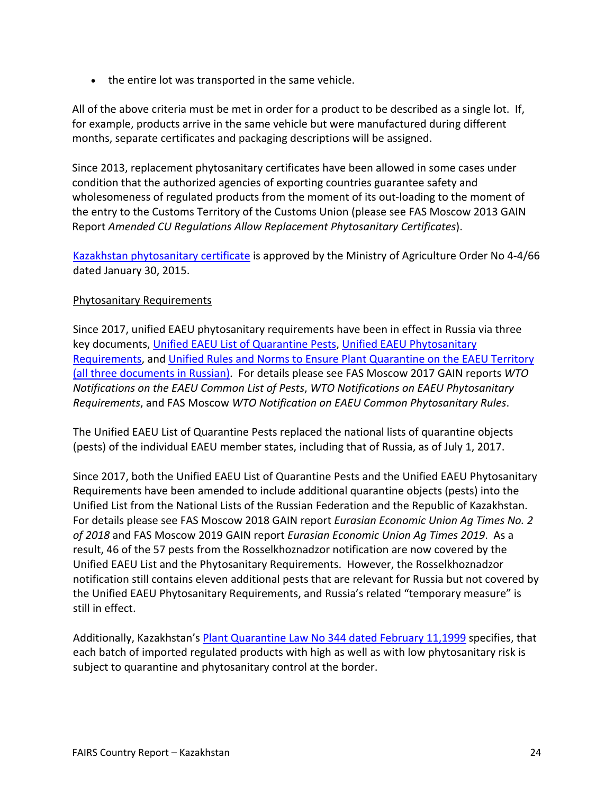• the entire lot was transported in the same vehicle.

All of the above criteria must be met in order for a product to be described as a single lot. If, for example, products arrive in the same vehicle but were manufactured during different months, separate certificates and packaging descriptions will be assigned.

Since 2013, replacement phytosanitary certificates have been allowed in some cases under condition that the authorized agencies of exporting countries guarantee safety and wholesomeness of regulated products from the moment of its out-loading to the moment of the entry to the Customs Territory of the Customs Union (please see FAS Moscow 2013 GAIN Report *Amended CU Regulations Allow Replacement Phytosanitary Certificates*).

[Kazakhstan phytosanitary certificate](http://adilet.zan.kz/rus/docs/V1500012032#z74) is approved by the Ministry of Agriculture Order No 4-4/66 dated January 30, 2015.

#### <span id="page-23-0"></span>Phytosanitary Requirements

Since 2017, unified EAEU phytosanitary requirements have been in effect in Russia via three key documents, [Unified EAEU List of Quarantine Pests](http://www.eurasiancommission.org/ru/act/texnreg/depsanmer/regulation/Documents/%D0%94%D0%BB%D1%8F%20%D0%A1%D0%B0%D0%B9%D1%82%D0%B0%20%D0%95%D0%9F%D0%9A%D0%9E%20%D0%B8%D0%B7.%20%E2%84%96%2025,%20%E2%84%96%2074.pdf), [Unified EAEU Phytosanitary](http://www.eurasiancommission.org/ru/act/texnreg/depsanmer/regulation/Documents/%D0%95%D0%9A%D0%A4%D0%A2%20%D0%B2%20%D1%80%D0%B5%D0%B4%20%D0%A0%D0%B5%D1%88.%2074.pdf)  [Requirements](http://www.eurasiancommission.org/ru/act/texnreg/depsanmer/regulation/Documents/%D0%95%D0%9A%D0%A4%D0%A2%20%D0%B2%20%D1%80%D0%B5%D0%B4%20%D0%A0%D0%B5%D1%88.%2074.pdf), and [Unified Rules and Norms to Ensure Plant Quarantine on the EAEU Territory](http://www.eurasiancommission.org/ru/act/texnreg/depsanmer/regulation/Documents/%D0%A0%D0%B5%D1%88%D0%B5%D0%BD%D0%B8%D0%B5%20%D0%A1%D0%BE%D0%B2%D0%B5%D1%82%D0%B0%20%D0%9A%D0%BE%D0%BC%D0%B8%D1%81%D1%81%D0%B8%D0%B8%20%D0%BE%D1%82%2030.11.2016%20%E2%84%96159.pdf)  (all three documents in Russian). For details please see FAS Moscow 2017 GAIN reports *WTO Notifications on the EAEU Common List of Pests*, *WTO Notifications on EAEU Phytosanitary Requirements*, and FAS Moscow *WTO Notification on EAEU Common Phytosanitary Rules*.

The Unified EAEU List of Quarantine Pests replaced the national lists of quarantine objects (pests) of the individual EAEU member states, including that of Russia, as of July 1, 2017.

Since 2017, both the Unified EAEU List of Quarantine Pests and the Unified EAEU Phytosanitary Requirements have been amended to include additional quarantine objects (pests) into the Unified List from the National Lists of the Russian Federation and the Republic of Kazakhstan. For details please see FAS Moscow 2018 GAIN report *Eurasian Economic Union Ag Times No. 2 of 2018* and FAS Moscow 2019 GAIN report *Eurasian Economic Union Ag Times 2019*. As a result, 46 of the 57 pests from the Rosselkhoznadzor notification are now covered by the Unified EAEU List and the Phytosanitary Requirements. However, the Rosselkhoznadzor notification still contains eleven additional pests that are relevant for Russia but not covered by the Unified EAEU Phytosanitary Requirements, and Russia's related "temporary measure" is still in effect.

Additionally, Kazakhstan's [Plant Quarantine Law No 344 dated February 11,1999](http://adilet.zan.kz/rus/docs/Z990000344_) specifies, that each batch of imported regulated products with high as well as with low phytosanitary risk is subject to quarantine and phytosanitary control at the border.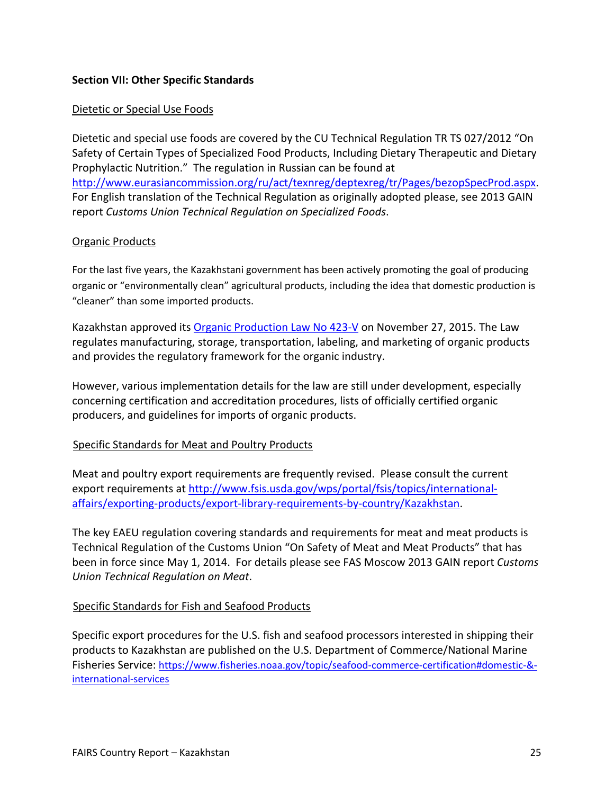## <span id="page-24-1"></span><span id="page-24-0"></span>**Section VII: Other Specific Standards**

#### Dietetic or Special Use Foods

Dietetic and special use foods are covered by the CU Technical Regulation TR TS 027/2012 "On Safety of Certain Types of Specialized Food Products, Including Dietary Therapeutic and Dietary Prophylactic Nutrition." The regulation in Russian can be found at <http://www.eurasiancommission.org/ru/act/texnreg/deptexreg/tr/Pages/bezopSpecProd.aspx>. For English translation of the Technical Regulation as originally adopted please, see 2013 GAIN report *Customs Union Technical Regulation on Specialized Foods*.

#### <span id="page-24-2"></span>Organic Products

For the last five years, the Kazakhstani government has been actively promoting the goal of producing organic or "environmentally clean" agricultural products, including the idea that domestic production is "cleaner" than some imported products.

Kazakhstan approved its [Organic Production Law No 423-V](http://adilet.zan.kz/rus/docs/Z1500000423) on November 27, 2015. The Law regulates manufacturing, storage, transportation, labeling, and marketing of organic products and provides the regulatory framework for the organic industry.

However, various implementation details for the law are still under development, especially concerning certification and accreditation procedures, lists of officially certified organic producers, and guidelines for imports of organic products.

#### <span id="page-24-3"></span>Specific Standards for Meat and Poultry Products

Meat and poultry export requirements are frequently revised. Please consult the current export requirements at [http://www.fsis.usda.gov/wps/portal/fsis/topics/international](http://www.fsis.usda.gov/wps/portal/fsis/topics/international-affairs/exporting-products/export-library-requirements-by-country/Kazakhstan)[affairs/exporting-products/export-library-requirements-by-country/Kazakhstan.](http://www.fsis.usda.gov/wps/portal/fsis/topics/international-affairs/exporting-products/export-library-requirements-by-country/Kazakhstan)

The key EAEU regulation covering standards and requirements for meat and meat products is Technical Regulation of the Customs Union "On Safety of Meat and Meat Products" that has been in force since May 1, 2014. For details please see FAS Moscow 2013 GAIN report *Customs Union Technical Regulation on Meat*.

#### <span id="page-24-4"></span>Specific Standards for Fish and Seafood Products

Specific export procedures for the U.S. fish and seafood processors interested in shipping their products to Kazakhstan are published on the U.S. Department of Commerce/National Marine Fisheries Service: [https://www.fisheries.noaa.gov/topic/seafood-commerce-certification#domestic-&](https://www.fisheries.noaa.gov/topic/seafood-commerce-certification#domestic-&-international-services) [international-services](https://www.fisheries.noaa.gov/topic/seafood-commerce-certification#domestic-&-international-services)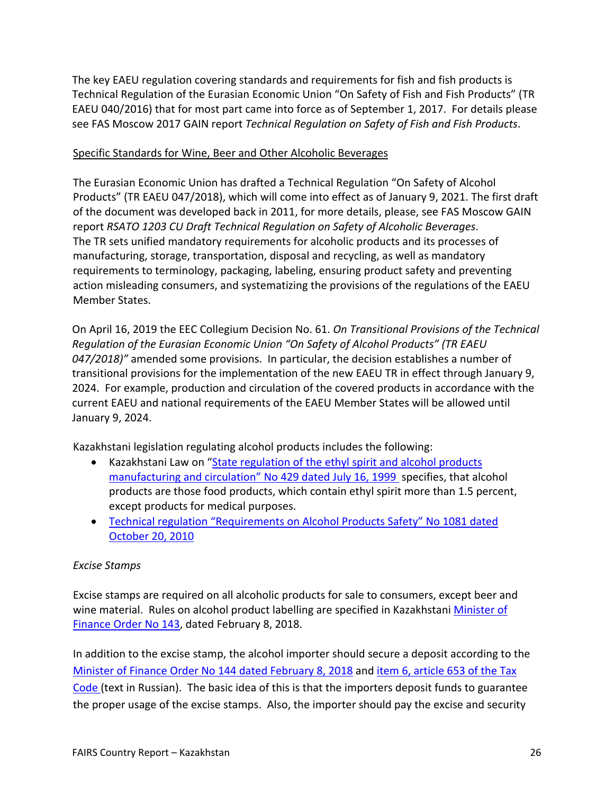The key EAEU regulation covering standards and requirements for fish and fish products is Technical Regulation of the Eurasian Economic Union "On Safety of Fish and Fish Products" (TR EAEU 040/2016) that for most part came into force as of September 1, 2017. For details please see FAS Moscow 2017 GAIN report *Technical Regulation on Safety of Fish and Fish Products*.

#### <span id="page-25-0"></span>Specific Standards for Wine, Beer and Other Alcoholic Beverages

The Eurasian Economic Union has drafted a Technical Regulation "On Safety of Alcohol Products" (TR EAEU 047/2018), which will come into effect as of January 9, 2021. The first draft of the document was developed back in 2011, for more details, please, see FAS Moscow GAIN report *RSATO 1203 CU Draft Technical Regulation on Safety of Alcoholic Beverages*. The TR sets unified mandatory requirements for alcoholic products and its processes of manufacturing, storage, transportation, disposal and recycling, as well as mandatory requirements to terminology, packaging, labeling, ensuring product safety and preventing action misleading consumers, and systematizing the provisions of the regulations of the EAEU Member States.

On April 16, 2019 the EEC Collegium Decision No. 61. *On Transitional Provisions of the Technical Regulation of the Eurasian Economic Union "On Safety of Alcohol Products" (TR EAEU 047/2018)"* amended some provisions. In particular, the decision establishes a number of transitional provisions for the implementation of the new EAEU TR in effect through January 9, 2024. For example, production and circulation of the covered products in accordance with the current EAEU and national requirements of the EAEU Member States will be allowed until January 9, 2024.

Kazakhstani legislation regulating alcohol products includes the following:

- Kazakhstani Law on "[State regulation of the ethyl spirit and alcohol products](http://adilet.zan.kz/rus/docs/Z990000429_)  [manufacturing and circulation" No 429 dated July 16, 1999](http://adilet.zan.kz/rus/docs/Z990000429_) specifies, that alcohol products are those food products, which contain ethyl spirit more than 1.5 percent, except products for medical purposes.
- [Technical regulation "Requirements on Alcohol Products Safety" No 1081 dated](http://adilet.zan.kz/rus/docs/P1000001081)  [October 20, 2010](http://adilet.zan.kz/rus/docs/P1000001081)

#### <span id="page-25-1"></span>*Excise Stamps*

Excise stamps are required on all alcoholic products for sale to consumers, except beer and wine material. Rules on alcohol product labelling are specified in Kazakhstani [Minister of](http://adilet.zan.kz/rus/docs/V1800016444)  [Finance Order No 143](http://adilet.zan.kz/rus/docs/V1800016444), dated February 8, 2018.

In addition to the excise stamp, the alcohol importer should secure a deposit according to the [Minister of Finance Order No 144 dated February 8, 2018](http://adilet.zan.kz/rus/docs/V1800016437#z416) and [item 6, article 653 of the Tax](http://adilet.zan.kz/rus/docs/K080000099_)  [Code](http://adilet.zan.kz/rus/docs/K080000099_) (text in Russian). The basic idea of this is that the importers deposit funds to guarantee the proper usage of the excise stamps. Also, the importer should pay the excise and security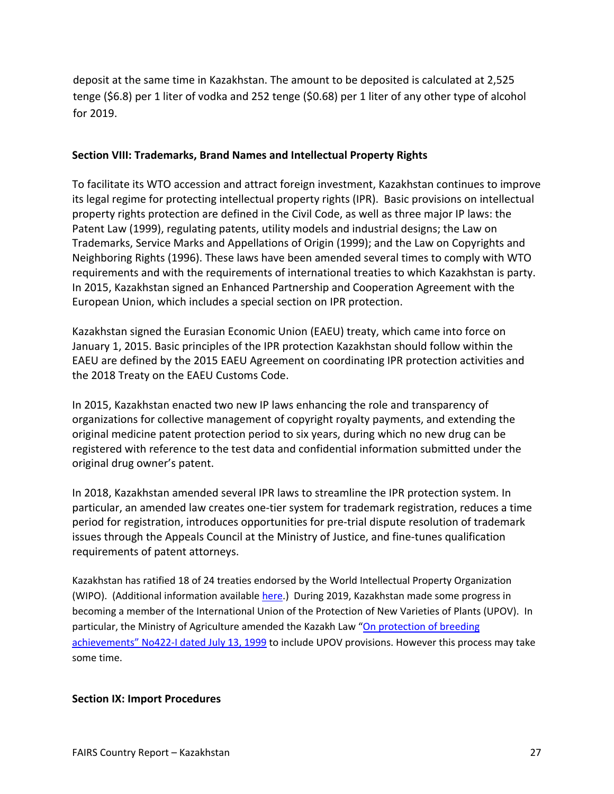deposit at the same time in Kazakhstan. The amount to be deposited is calculated at 2,525 tenge (\$6.8) per 1 liter of vodka and 252 tenge (\$0.68) per 1 liter of any other type of alcohol for 2019.

## <span id="page-26-0"></span>**Section VIII: Trademarks, Brand Names and Intellectual Property Rights**

To facilitate its WTO accession and attract foreign investment, Kazakhstan continues to improve its legal regime for protecting intellectual property rights (IPR). Basic provisions on intellectual property rights protection are defined in the Civil Code, as well as three major IP laws: the Patent Law (1999), regulating patents, utility models and industrial designs; the Law on Trademarks, Service Marks and Appellations of Origin (1999); and the Law on Copyrights and Neighboring Rights (1996). These laws have been amended several times to comply with WTO requirements and with the requirements of international treaties to which Kazakhstan is party. In 2015, Kazakhstan signed an Enhanced Partnership and Cooperation Agreement with the European Union, which includes a special section on IPR protection.

Kazakhstan signed the Eurasian Economic Union (EAEU) treaty, which came into force on January 1, 2015. Basic principles of the IPR protection Kazakhstan should follow within the EAEU are defined by the 2015 EAEU Agreement on coordinating IPR protection activities and the 2018 Treaty on the EAEU Customs Code.

In 2015, Kazakhstan enacted two new IP laws enhancing the role and transparency of organizations for collective management of copyright royalty payments, and extending the original medicine patent protection period to six years, during which no new drug can be registered with reference to the test data and confidential information submitted under the original drug owner's patent.

In 2018, Kazakhstan amended several IPR laws to streamline the IPR protection system. In particular, an amended law creates one-tier system for trademark registration, reduces a time period for registration, introduces opportunities for pre-trial dispute resolution of trademark issues through the Appeals Council at the Ministry of Justice, and fine-tunes qualification requirements of patent attorneys.

Kazakhstan has ratified 18 of 24 treaties endorsed by the World Intellectual Property Organization (WIPO). (Additional information available [here](http://www.wipo.int/members/en/details.jsp?country_id=97).) During 2019, Kazakhstan made some progress in becoming a member of the International Union of the Protection of New Varieties of Plants (UPOV). In particular, the Ministry of Agriculture amended the Kazakh Law ["On protection of breeding](http://adilet.zan.kz/rus/docs/Z990000422_)  [achievements" No422-I dated July 13, 1999](http://adilet.zan.kz/rus/docs/Z990000422_) to include UPOV provisions. However this process may take some time.

#### <span id="page-26-1"></span>**Section IX: Import Procedures**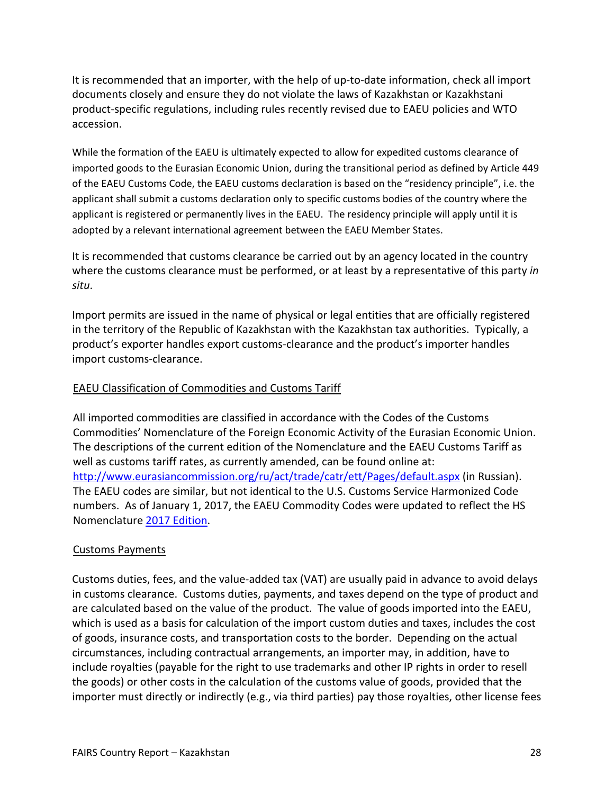It is recommended that an importer, with the help of up-to-date information, check all import documents closely and ensure they do not violate the laws of Kazakhstan or Kazakhstani product-specific regulations, including rules recently revised due to EAEU policies and WTO accession.

While the formation of the EAEU is ultimately expected to allow for expedited customs clearance of imported goods to the Eurasian Economic Union, during the transitional period as defined by Article 449 of the EAEU Customs Code, the EAEU customs declaration is based on the "residency principle", i.e. the applicant shall submit a customs declaration only to specific customs bodies of the country where the applicant is registered or permanently lives in the EAEU. The residency principle will apply until it is adopted by a relevant international agreement between the EAEU Member States.

It is recommended that customs clearance be carried out by an agency located in the country where the customs clearance must be performed, or at least by a representative of this party *in situ*.

Import permits are issued in the name of physical or legal entities that are officially registered in the territory of the Republic of Kazakhstan with the Kazakhstan tax authorities. Typically, a product's exporter handles export customs-clearance and the product's importer handles import customs-clearance.

## <span id="page-27-0"></span>EAEU Classification of Commodities and Customs Tariff

All imported commodities are classified in accordance with the Codes of the Customs Commodities' Nomenclature of the Foreign Economic Activity of the Eurasian Economic Union. The descriptions of the current edition of the Nomenclature and the EAEU Customs Tariff as well as customs tariff rates, as currently amended, can be found online at: <http://www.eurasiancommission.org/ru/act/trade/catr/ett/Pages/default.aspx>(in Russian). The EAEU codes are similar, but not identical to the U.S. Customs Service Harmonized Code numbers. As of January 1, 2017, the EAEU Commodity Codes were updated to reflect the HS Nomenclature [2017 Edition.](http://www.wcoomd.org/en/media/newsroom/2016/march/the-sixth-edition-of-the-harmonized-system-will-enter-into-force-on-1-january-2017.aspx)

#### <span id="page-27-1"></span>Customs Payments

Customs duties, fees, and the value-added tax (VAT) are usually paid in advance to avoid delays in customs clearance. Customs duties, payments, and taxes depend on the type of product and are calculated based on the value of the product. The value of goods imported into the EAEU, which is used as a basis for calculation of the import custom duties and taxes, includes the cost of goods, insurance costs, and transportation costs to the border. Depending on the actual circumstances, including contractual arrangements, an importer may, in addition, have to include royalties (payable for the right to use trademarks and other IP rights in order to resell the goods) or other costs in the calculation of the customs value of goods, provided that the importer must directly or indirectly (e.g., via third parties) pay those royalties, other license fees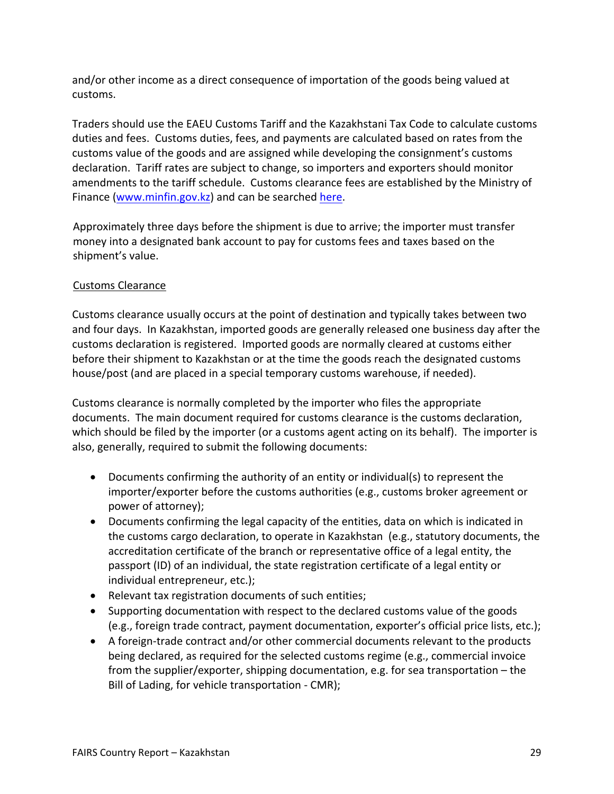and/or other income as a direct consequence of importation of the goods being valued at customs.

Traders should use the EAEU Customs Tariff and the Kazakhstani Tax Code to calculate customs duties and fees. Customs duties, fees, and payments are calculated based on rates from the customs value of the goods and are assigned while developing the consignment's customs declaration. Tariff rates are subject to change, so importers and exporters should monitor amendments to the tariff schedule. Customs clearance fees are established by the Ministry of Finance [\(www.minfin.gov.kz\)](http://www.minfin.gov.kz/) and can be searched [here](http://kgd.gov.kz/tnved/).

Approximately three days before the shipment is due to arrive; the importer must transfer money into a designated bank account to pay for customs fees and taxes based on the shipment's value.

# <span id="page-28-0"></span>Customs Clearance

Customs clearance usually occurs at the point of destination and typically takes between two and four days. In Kazakhstan, imported goods are generally released one business day after the customs declaration is registered. Imported goods are normally cleared at customs either before their shipment to Kazakhstan or at the time the goods reach the designated customs house/post (and are placed in a special temporary customs warehouse, if needed).

Customs clearance is normally completed by the importer who files the appropriate documents. The main document required for customs clearance is the customs declaration, which should be filed by the importer (or a customs agent acting on its behalf). The importer is also, generally, required to submit the following documents:

- Documents confirming the authority of an entity or individual(s) to represent the importer/exporter before the customs authorities (e.g., customs broker agreement or power of attorney);
- Documents confirming the legal capacity of the entities, data on which is indicated in the customs cargo declaration, to operate in Kazakhstan (e.g., statutory documents, the accreditation certificate of the branch or representative office of a legal entity, the passport (ID) of an individual, the state registration certificate of a legal entity or individual entrepreneur, etc.);
- Relevant tax registration documents of such entities;
- Supporting documentation with respect to the declared customs value of the goods (e.g., foreign trade contract, payment documentation, exporter's official price lists, etc.);
- A foreign-trade contract and/or other commercial documents relevant to the products being declared, as required for the selected customs regime (e.g., commercial invoice from the supplier/exporter, shipping documentation, e.g. for sea transportation – the Bill of Lading, for vehicle transportation - CMR);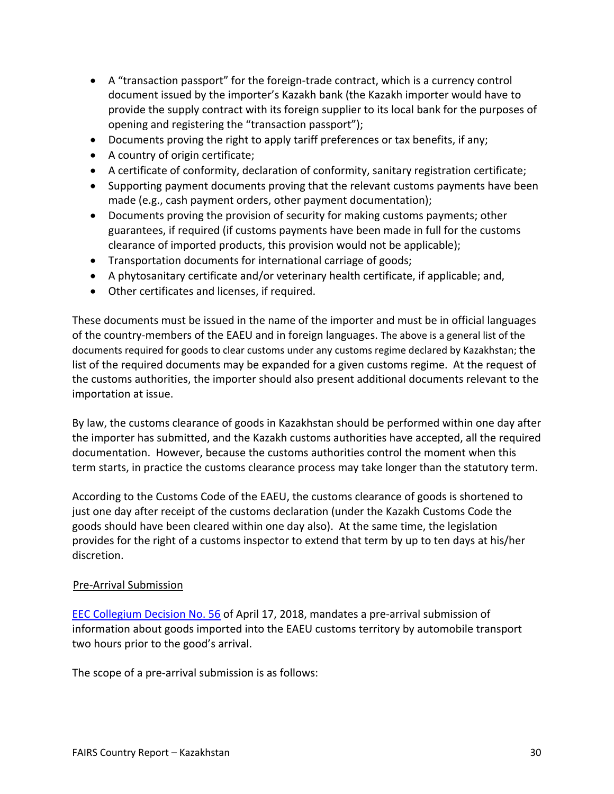- A "transaction passport" for the foreign-trade contract, which is a currency control document issued by the importer's Kazakh bank (the Kazakh importer would have to provide the supply contract with its foreign supplier to its local bank for the purposes of opening and registering the "transaction passport");
- Documents proving the right to apply tariff preferences or tax benefits, if any;
- A country of origin certificate;
- A certificate of conformity, declaration of conformity, sanitary registration certificate;
- Supporting payment documents proving that the relevant customs payments have been made (e.g., cash payment orders, other payment documentation);
- Documents proving the provision of security for making customs payments; other guarantees, if required (if customs payments have been made in full for the customs clearance of imported products, this provision would not be applicable);
- Transportation documents for international carriage of goods;
- A phytosanitary certificate and/or veterinary health certificate, if applicable; and,
- Other certificates and licenses, if required.

These documents must be issued in the name of the importer and must be in official languages of the country-members of the EAEU and in foreign languages. The above is a general list of the documents required for goods to clear customs under any customs regime declared by Kazakhstan; the list of the required documents may be expanded for a given customs regime. At the request of the customs authorities, the importer should also present additional documents relevant to the importation at issue.

By law, the customs clearance of goods in Kazakhstan should be performed within one day after the importer has submitted, and the Kazakh customs authorities have accepted, all the required documentation. However, because the customs authorities control the moment when this term starts, in practice the customs clearance process may take longer than the statutory term.

According to the Customs Code of the EAEU, the customs clearance of goods is shortened to just one day after receipt of the customs declaration (under the Kazakh Customs Code the goods should have been cleared within one day also). At the same time, the legislation provides for the right of a customs inspector to extend that term by up to ten days at his/her discretion.

#### <span id="page-29-0"></span>Pre-Arrival Submission

[EEC Collegium Decision No. 56](https://translate.google.com/translate?hl=en&sl=ru&tl=en&u=https://www.alta.ru/tamdoc/18kr0056/) of April 17, 2018, mandates a pre-arrival submission of information about goods imported into the EAEU customs territory by automobile transport two hours prior to the good's arrival.

The scope of a pre-arrival submission is as follows: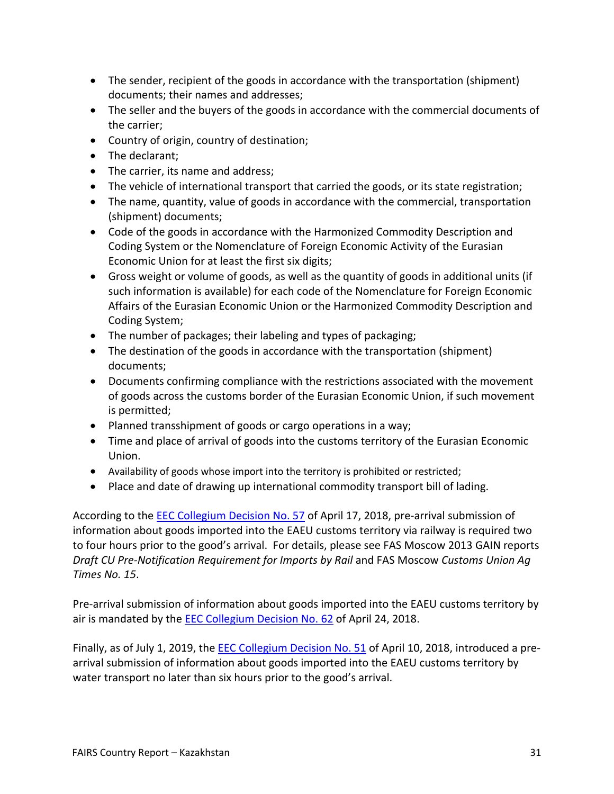- The sender, recipient of the goods in accordance with the transportation (shipment) documents; their names and addresses;
- The seller and the buyers of the goods in accordance with the commercial documents of the carrier;
- Country of origin, country of destination;
- The declarant:
- The carrier, its name and address;
- The vehicle of international transport that carried the goods, or its state registration;
- The name, quantity, value of goods in accordance with the commercial, transportation (shipment) documents;
- Code of the goods in accordance with the Harmonized Commodity Description and Coding System or the Nomenclature of Foreign Economic Activity of the Eurasian Economic Union for at least the first six digits;
- Gross weight or volume of goods, as well as the quantity of goods in additional units (if such information is available) for each code of the Nomenclature for Foreign Economic Affairs of the Eurasian Economic Union or the Harmonized Commodity Description and Coding System;
- The number of packages; their labeling and types of packaging;
- The destination of the goods in accordance with the transportation (shipment) documents;
- Documents confirming compliance with the restrictions associated with the movement of goods across the customs border of the Eurasian Economic Union, if such movement is permitted;
- Planned transshipment of goods or cargo operations in a way;
- Time and place of arrival of goods into the customs territory of the Eurasian Economic Union.
- Availability of goods whose import into the territory is prohibited or restricted;
- Place and date of drawing up international commodity transport bill of lading.

According to the [EEC Collegium Decision No. 57](https://translate.google.com/translate?hl=en&sl=ru&tl=en&u=https://www.alta.ru/tamdoc/18kr0057/) of April 17, 2018, pre-arrival submission of information about goods imported into the EAEU customs territory via railway is required two to four hours prior to the good's arrival. For details, please see FAS Moscow 2013 GAIN reports *Draft CU Pre-Notification Requirement for Imports by Rail* and FAS Moscow *Customs Union Ag Times No. 15*.

Pre-arrival submission of information about goods imported into the EAEU customs territory by air is mandated by the [EEC Collegium Decision No. 62](https://translate.google.com/translate?hl=en&sl=ru&tl=en&u=https://www.alta.ru/tamdoc/18kr0062/) of April 24, 2018.

Finally, as of July 1, 2019, the [EEC Collegium Decision No. 51](https://translate.google.com/translate?hl=en&sl=ru&tl=en&u=https://www.alta.ru/tamdoc/18kr0051/) of April 10, 2018, introduced a prearrival submission of information about goods imported into the EAEU customs territory by water transport no later than six hours prior to the good's arrival.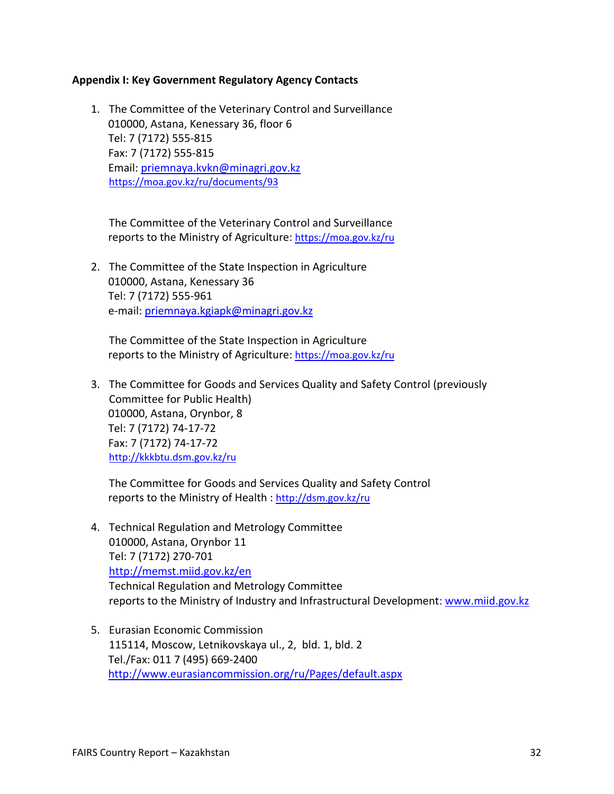#### <span id="page-31-0"></span>**Appendix I: Key Government Regulatory Agency Contacts**

1. The Committee of the Veterinary Control and Surveillance 010000, Astana, Kenessary 36, floor 6 Tel: 7 (7172) 555-815 Fax: 7 (7172) 555-815 Email: [priemnaya.kvkn@minagri.gov.kz](mailto:priemnaya.kvkn@minagri.gov.kz) <https://moa.gov.kz/ru/documents/93>

The Committee of the Veterinary Control and Surveillance reports to the Ministry of Agriculture: <https://moa.gov.kz/ru>

2. The Committee of the State Inspection in Agriculture 010000, Astana, Kenessary 36 Tel: 7 (7172) 555-961 e-mail: [priemnaya.kgiapk@minagri.gov.kz](mailto:priemnaya.kgiapk@minagri.gov.kz)

The Committee of the State Inspection in Agriculture reports to the Ministry of Agriculture: <https://moa.gov.kz/ru>

3. The Committee for Goods and Services Quality and Safety Control (previously Committee for Public Health) 010000, Astana, Orynbor, 8 Tel: 7 (7172) 74-17-72 Fax: 7 (7172) 74-17-72 <http://kkkbtu.dsm.gov.kz/ru>

The Committee for Goods and Services Quality and Safety Control reports to the Ministry of Health : <http://dsm.gov.kz/ru>

- 4. Technical Regulation and Metrology Committee 010000, Astana, Orynbor 11 Tel: 7 (7172) 270-701 http://memst.miid.gov.kz/en Technical Regulation and Metrology Committee reports to the Ministry of Industry and Infrastructural Development: www.miid.gov.kz
- 5. Eurasian Economic Commission 115114, Moscow, Letnikovskaya ul., 2, bld. 1, bld. 2 Tel./Fax: 011 7 (495) 669-2400 <http://www.eurasiancommission.org/ru/Pages/default.aspx>